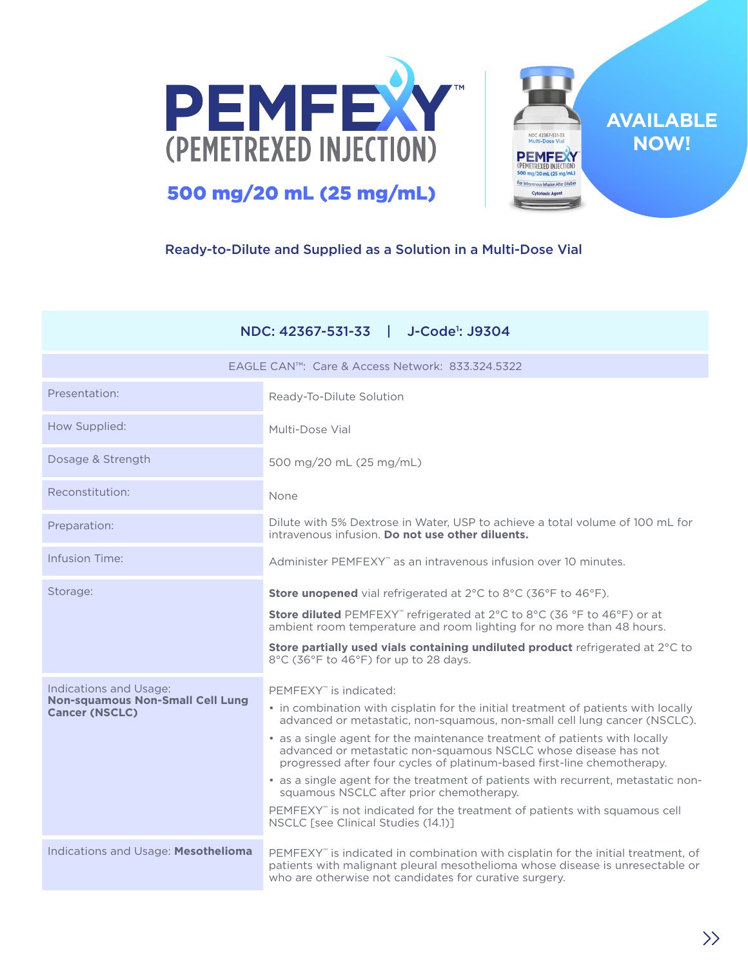



**AVAILABLE NOW!**

# Ready-to-Dilute and Supplied as a Solution in a Multi-Dose Vial

|                                                                  | NDC: 42367-531-33<br>J-Code <sup>1</sup> : J9304                                                                                                                                                                             |
|------------------------------------------------------------------|------------------------------------------------------------------------------------------------------------------------------------------------------------------------------------------------------------------------------|
|                                                                  | EAGLE CAN™: Care & Access Network: 833.324.5322                                                                                                                                                                              |
| Presentation:                                                    | Ready-To-Dilute Solution                                                                                                                                                                                                     |
| How Supplied:                                                    | Multi-Dose Vial                                                                                                                                                                                                              |
| Dosage & Strength                                                | 500 mg/20 mL (25 mg/mL)                                                                                                                                                                                                      |
| Reconstitution:                                                  | None                                                                                                                                                                                                                         |
| Preparation:                                                     | Dilute with 5% Dextrose in Water, USP to achieve a total volume of 100 mL for<br>intravenous infusion. Do not use other diluents.                                                                                            |
| Infusion Time:                                                   | Administer PEMFEXY" as an intravenous infusion over 10 minutes.                                                                                                                                                              |
| Storage:                                                         | Store unopened vial refrigerated at 2°C to 8°C (36°F to 46°F).                                                                                                                                                               |
|                                                                  | Store diluted PEMFEXY" refrigerated at 2°C to 8°C (36 °F to 46°F) or at<br>ambient room temperature and room lighting for no more than 48 hours.                                                                             |
|                                                                  | Store partially used vials containing undiluted product refrigerated at 2°C to<br>8°C (36°F to 46°F) for up to 28 days.                                                                                                      |
| Indications and Usage:                                           | PEMFEXY <sup>*</sup> is indicated:                                                                                                                                                                                           |
| <b>Non-squamous Non-Small Cell Lung</b><br><b>Cancer (NSCLC)</b> | • in combination with cisplatin for the initial treatment of patients with locally<br>advanced or metastatic, non-squamous, non-small cell lung cancer (NSCLC).                                                              |
|                                                                  | • as a single agent for the maintenance treatment of patients with locally<br>advanced or metastatic non-squamous NSCLC whose disease has not<br>progressed after four cycles of platinum-based first-line chemotherapy.     |
|                                                                  | • as a single agent for the treatment of patients with recurrent, metastatic non-<br>squamous NSCLC after prior chemotherapy.                                                                                                |
|                                                                  | PEMFEXY" is not indicated for the treatment of patients with squamous cell<br>NSCLC [see Clinical Studies (14.1)]                                                                                                            |
| Indications and Usage: Mesothelioma                              | PEMFEXY" is indicated in combination with cisplatin for the initial treatment, of<br>patients with malignant pleural mesothelioma whose disease is unresectable or<br>who are otherwise not candidates for curative surgery. |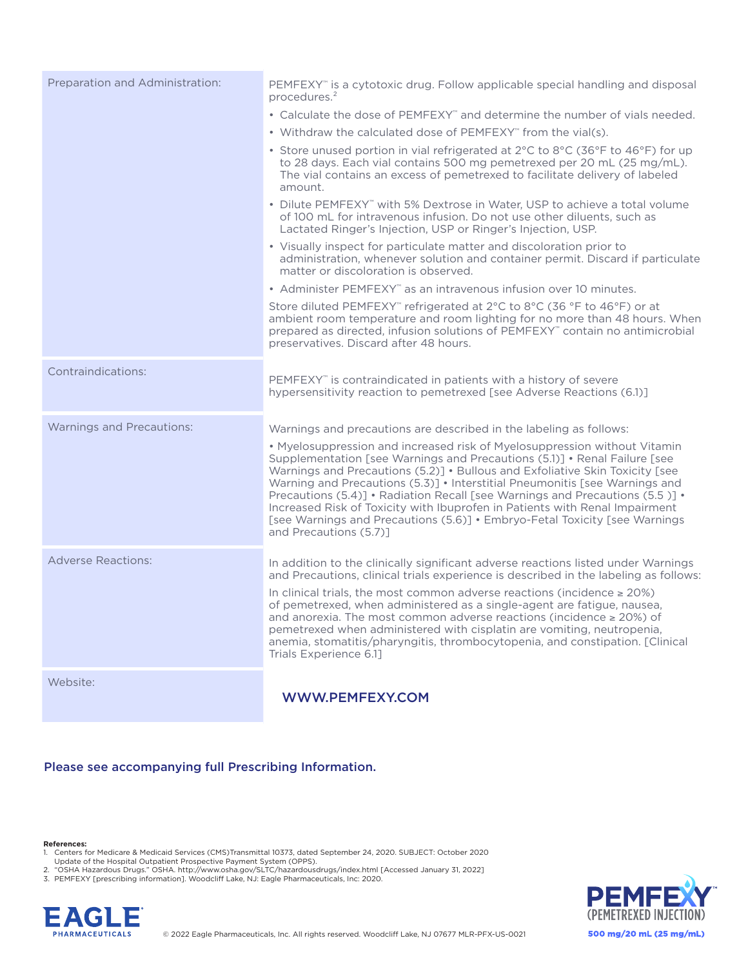| Preparation and Administration:  | PEMFEXY" is a cytotoxic drug. Follow applicable special handling and disposal<br>procedures. <sup>2</sup>                                                                                                                                                                                                                                                                                                                                                                                                                                                                                    |
|----------------------------------|----------------------------------------------------------------------------------------------------------------------------------------------------------------------------------------------------------------------------------------------------------------------------------------------------------------------------------------------------------------------------------------------------------------------------------------------------------------------------------------------------------------------------------------------------------------------------------------------|
|                                  | • Calculate the dose of PEMFEXY" and determine the number of vials needed.                                                                                                                                                                                                                                                                                                                                                                                                                                                                                                                   |
|                                  | • Withdraw the calculated dose of PEMFEXY" from the vial(s).                                                                                                                                                                                                                                                                                                                                                                                                                                                                                                                                 |
|                                  | • Store unused portion in vial refrigerated at 2°C to 8°C (36°F to 46°F) for up<br>to 28 days. Each vial contains 500 mg pemetrexed per 20 mL (25 mg/mL).<br>The vial contains an excess of pemetrexed to facilitate delivery of labeled<br>amount.                                                                                                                                                                                                                                                                                                                                          |
|                                  | • Dilute PEMFEXY" with 5% Dextrose in Water, USP to achieve a total volume<br>of 100 mL for intravenous infusion. Do not use other diluents, such as<br>Lactated Ringer's Injection, USP or Ringer's Injection, USP.                                                                                                                                                                                                                                                                                                                                                                         |
|                                  | • Visually inspect for particulate matter and discoloration prior to<br>administration, whenever solution and container permit. Discard if particulate<br>matter or discoloration is observed.                                                                                                                                                                                                                                                                                                                                                                                               |
|                                  | • Administer PEMFEXY" as an intravenous infusion over 10 minutes.                                                                                                                                                                                                                                                                                                                                                                                                                                                                                                                            |
|                                  | Store diluted PEMFEXY" refrigerated at 2°C to 8°C (36 °F to 46°F) or at<br>ambient room temperature and room lighting for no more than 48 hours. When<br>prepared as directed, infusion solutions of PEMFEXY" contain no antimicrobial<br>preservatives. Discard after 48 hours.                                                                                                                                                                                                                                                                                                             |
| Contraindications:               | PEMFEXY <sup>*</sup> is contraindicated in patients with a history of severe<br>hypersensitivity reaction to pemetrexed [see Adverse Reactions (6.1)]                                                                                                                                                                                                                                                                                                                                                                                                                                        |
| <b>Warnings and Precautions:</b> | Warnings and precautions are described in the labeling as follows:                                                                                                                                                                                                                                                                                                                                                                                                                                                                                                                           |
|                                  | • Myelosuppression and increased risk of Myelosuppression without Vitamin<br>Supplementation [see Warnings and Precautions (5.1)] • Renal Failure [see<br>Warnings and Precautions (5.2)] . Bullous and Exfoliative Skin Toxicity [see<br>Warning and Precautions (5.3)] • Interstitial Pneumonitis [see Warnings and<br>Precautions (5.4)] • Radiation Recall [see Warnings and Precautions (5.5)] •<br>Increased Risk of Toxicity with Ibuprofen in Patients with Renal Impairment<br>[see Warnings and Precautions (5.6)] • Embryo-Fetal Toxicity [see Warnings<br>and Precautions (5.7)1 |
| <b>Adverse Reactions:</b>        | In addition to the clinically significant adverse reactions listed under Warnings<br>and Precautions, clinical trials experience is described in the labeling as follows:                                                                                                                                                                                                                                                                                                                                                                                                                    |
|                                  | In clinical trials, the most common adverse reactions (incidence $\geq 20\%$ )<br>of pemetrexed, when administered as a single-agent are fatigue, nausea,<br>and anorexia. The most common adverse reactions (incidence $\geq$ 20%) of<br>pemetrexed when administered with cisplatin are vomiting, neutropenia,<br>anemia, stomatitis/pharyngitis, thrombocytopenia, and constipation. [Clinical<br>Trials Experience 6.11                                                                                                                                                                  |
| Website:                         | <b>WWW.PEMFEXY.COM</b>                                                                                                                                                                                                                                                                                                                                                                                                                                                                                                                                                                       |

# Please see accompanying full Prescribing Information.

## **References:**

1. Centers for Medicare & Medicaid Services (CMS)Transmittal 10373, dated September 24, 2020. SUBJECT: October 2020<br>Update of the Hospital Outpatient Prospective Payment System (OPPS).<br>2. "OSHA Hazardous Drugs." OSHA. htt

3. PEMFEXY [prescribing information]. Woodcliff Lake, NJ: Eagle Pharmaceuticals, Inc: 2020.



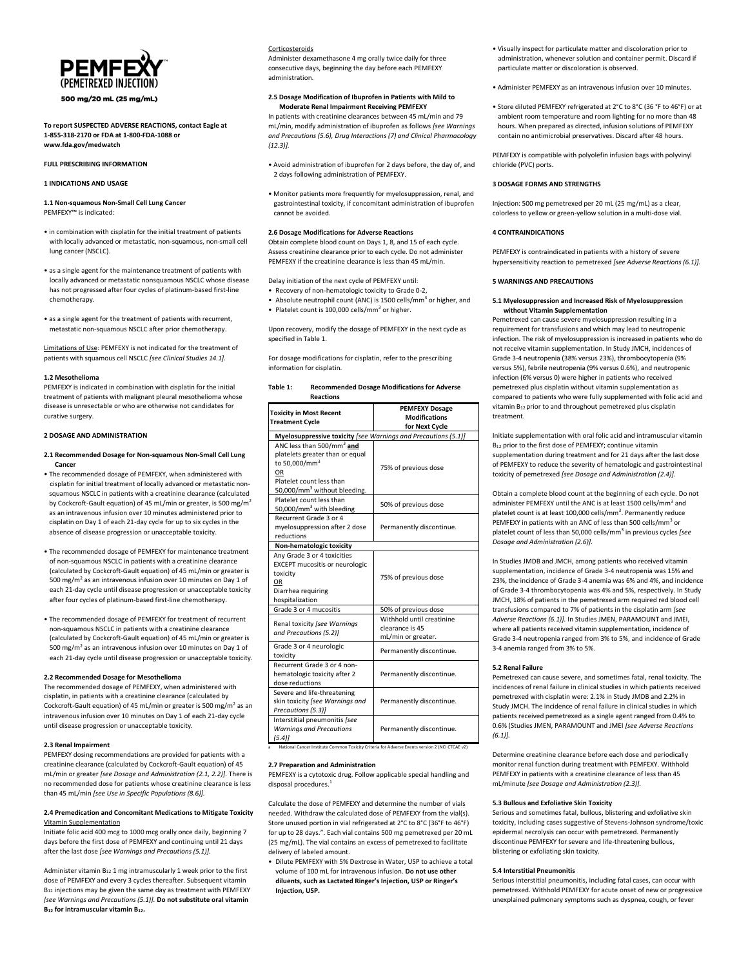

500 mg/20 mL (25 mg/mL)

#### **To report SUSPECTED ADVERSE REACTIONS, contact Eagle at 1-855-318-2170 or FDA at 1-800-FDA-1088 or www.fda.gov/medwatch**

#### **FULL PRESCRIBING INFORMATION**

**1 INDICATIONS AND USAGE**

**1.1 Non-squamous Non-Small Cell Lung Cancer** PEMFEXY™ is indicated:

- in combination with cisplatin for the initial treatment of patients with locally advanced or metastatic, non-squamous, non-small cell lung cancer (NSCLC).
- as a single agent for the maintenance treatment of patients with locally advanced or metastatic nonsquamous NSCLC whose disease has not progressed after four cycles of platinum-based first-line chemotherapy.
- as a single agent for the treatment of patients with recurrent, metastatic non-squamous NSCLC after prior chemotherapy.

Limitations of Use: PEMFEXY is not indicated for the treatment of patients with squamous cell NSCLC *[see Clinical Studies 14.1].*

## **1.2 Mesothelioma**

PEMFEXY is indicated in combination with cisplatin for the initial treatment of patients with malignant pleural mesothelioma whose disease is unresectable or who are otherwise not candidates for curative surgery.

## **2 DOSAGE AND ADMINISTRATION**

- **2.1 Recommended Dosage for Non-squamous Non-Small Cell Lung \_\_\_Cancer**
- The recommended dosage of PEMFEXY, when administered with \_ cisplatin for initial treatment of locally advanced or metastatic nonsquamous NSCLC in patients with a creatinine clearance (calculated by Cockcroft-Gault equation) of 45 mL/min or greater, is 500 mg/m<sup>2</sup> as an intravenous infusion over 10 minutes administered prior to cisplatin on Day 1 of each 21-day cycle for up to six cycles in the absence of disease progression or unacceptable toxicity.
- The recommended dosage of PEMFEXY for maintenance treatment of non-squamous NSCLC in patients with a creatinine clearance (calculated by Cockcroft-Gault equation) of 45 mL/min or greater is 500 mg/m<sup>2</sup> as an intravenous infusion over 10 minutes on Day 1 of each 21-day cycle until disease progression or unacceptable toxicity after four cycles of platinum-based first-line chemotherapy.
- The recommended dosage of PEMFEXY for treatment of recurrent non-squamous NSCLC in patients with a creatinine clearance (calculated by Cockcroft-Gault equation) of 45 mL/min or greater is 500 mg/m<sup>2</sup> as an intravenous infusion over 10 minutes on Day 1 of each 21-day cycle until disease progression or unacceptable toxicity.

## **2.2 Recommended Dosage for Mesothelioma**

The recommended dosage of PEMFEXY, when administered with cisplatin, in patients with a creatinine clearance (calculated by Cockcroft-Gault equation) of 45 mL/min or greater is 500 mg/m<sup>2</sup> as an intravenous infusion over 10 minutes on Day 1 of each 21-day cycle until disease progression or unacceptable toxicity.

## **2.3 Renal Impairment**

PEMFEXY dosing recommendations are provided for patients with a creatinine clearance (calculated by Cockcroft-Gault equation) of 45 mL/min or greater *[see Dosage and Administration (2.1, 2.2)]*. There is no recommended dose for patients whose creatinine clearance is less than 45 mL/min *[see Use in Specific Populations (8.6)].*

## **2.4 Premedication and Concomitant Medications to Mitigate Toxicity** Vitamin Supplementation

Initiate folic acid 400 mcg to 1000 mcg orally once daily, beginning 7 days before the first dose of PEMFEXY and continuing until 21 days after the last dose *[see Warnings and Precautions (5.1)].*

Administer vitamin  $B_{12}$  1 mg intramuscularly 1 week prior to the first dose of PEMFEXY and every 3 cycles thereafter. Subsequent vitamin B<sup>12</sup> injections may be given the same day as treatment with PEMFEXY *[see Warnings and Precautions (5.1)].* **Do not substitute oral vitamin B<sup>12</sup> for intramuscular vitamin B12.**

## Corticosteroids

Administer dexamethasone 4 mg orally twice daily for three consecutive days, beginning the day before each PEMFEXY administration.

## **2.5 Dosage Modification of Ibuprofen in Patients with Mild to \_\_\_Moderate Renal Impairment Receiving PEMFEXY**

In patients with creatinine clearances between 45 mL/min and 79 mL/min, modify administration of ibuprofen as follows *[see Warnings and Precautions (5.6), Drug Interactions (7) and Clinical Pharmacology (12.3)].*

- Avoid administration of ibuprofen for 2 days before, the day of, and 2 days following administration of PEMFEXY.
- Monitor patients more frequently for myelosuppression, renal, and gastrointestinal toxicity, if concomitant administration of ibuprofen cannot be avoided.

## **2.6 Dosage Modifications for Adverse Reactions**

Obtain complete blood count on Days 1, 8, and 15 of each cycle. Assess creatinine clearance prior to each cycle. Do not administer PEMFEXY if the creatinine clearance is less than 45 mL/min.

- Delay initiation of the next cycle of PEMFEXY until:
- •\_Recovery of non-hematologic toxicity to Grade 0-2,
- Absolute neutrophil count (ANC) is 1500 cells/mm<sup>3</sup> or higher, and
- Platelet count is 100,000 cells/mm<sup>3</sup> or higher.

Upon recovery, modify the dosage of PEMFEXY in the next cycle as specified in Table 1.

For dosage modifications for cisplatin, refer to the prescribing information for cisplatin.

| Table 1: | <b>Recommended Dosage Modifications for Adverse</b> |
|----------|-----------------------------------------------------|
|          | <b>Reactions</b>                                    |

| <b>Toxicity in Most Recent</b><br><b>Treatment Cycle</b>                                                                                                                            | <b>PEMFEXY Dosage</b><br><b>Modifications</b><br>for Next Cycle    |  |  |
|-------------------------------------------------------------------------------------------------------------------------------------------------------------------------------------|--------------------------------------------------------------------|--|--|
| Myelosuppressive toxicity [see Warnings and Precautions (5.1)]                                                                                                                      |                                                                    |  |  |
| ANC less than 500/mm <sup>3</sup> and<br>platelets greater than or equal<br>to 50.000/mm <sup>3</sup><br>OR<br>Platelet count less than<br>50,000/mm <sup>3</sup> without bleeding. | 75% of previous dose                                               |  |  |
| Platelet count less than<br>50,000/mm <sup>3</sup> with bleeding                                                                                                                    | 50% of previous dose                                               |  |  |
| Recurrent Grade 3 or 4<br>myelosuppression after 2 dose<br>reductions                                                                                                               | Permanently discontinue.                                           |  |  |
| Non-hematologic toxicity                                                                                                                                                            |                                                                    |  |  |
| Any Grade 3 or 4 toxicities<br><b>EXCEPT</b> mucositis or neurologic<br>toxicity<br>OR<br>Diarrhea requiring<br>hospitalization                                                     | 75% of previous dose                                               |  |  |
| Grade 3 or 4 mucositis                                                                                                                                                              | 50% of previous dose                                               |  |  |
| Renal toxicity [see Warnings<br>and Precautions (5.2)]                                                                                                                              | Withhold until creatinine<br>clearance is 45<br>mL/min or greater. |  |  |
| Grade 3 or 4 neurologic<br>toxicity                                                                                                                                                 | Permanently discontinue.                                           |  |  |
| Recurrent Grade 3 or 4 non-<br>hematologic toxicity after 2<br>dose reductions                                                                                                      | Permanently discontinue.                                           |  |  |
| Severe and life-threatening<br>skin toxicity [see Warnings and<br>Precautions (5.3)]                                                                                                | Permanently discontinue.                                           |  |  |
| Interstitial pneumonitis /see<br><b>Warnings and Precautions</b><br>$(5.4)$ ]                                                                                                       | Permanently discontinue.                                           |  |  |

National Cancer Institute Common Toxicity Criteria for Adverse Events version 2 (NCI CTCAE v2)

## **2.7 Preparation and Administration**

PEMFEXY is a cytotoxic drug. Follow applicable special handling and disposal procedures.<sup>1</sup>

Calculate the dose of PEMFEXY and determine the number of vials needed. Withdraw the calculated dose of PEMFEXY from the vial(s). Store unused portion in vial refrigerated at 2°C to 8°C (36°F to 46°F) for up to 28 days.". Each vial contains 500 mg pemetrexed per 20 mL (25 mg/mL). The vial contains an excess of pemetrexed to facilitate delivery of labeled amount.

• Dilute PEMFEXY with 5% Dextrose in Water, USP to achieve a total \_\_volume of 100 mL for intravenous infusion. **Do not use other \_\_diluents, such as Lactated Ringer's Injection, USP or Ringer's \_\_Injection, USP.** 

- Visually inspect for particulate matter and discoloration prior to administration, whenever solution and container permit. Discard if particulate matter or discoloration is observed.
- Administer PEMFEXY as an intravenous infusion over 10 minutes.
- Store diluted PEMFEXY refrigerated at 2°C to 8°C (36 °F to 46°F) or at ambient room temperature and room lighting for no more than 48 hours. When prepared as directed, infusion solutions of PEMFEXY contain no antimicrobial preservatives. Discard after 48 hours.

PEMFEXY is compatible with polyolefin infusion bags with polyvinyl chloride (PVC) ports.

#### **3 DOSAGE FORMS AND STRENGTHS**

Injection: 500 mg pemetrexed per 20 mL (25 mg/mL) as a clear, colorless to yellow or green-yellow solution in a multi-dose vial.

## **4 CONTRAINDICATIONS**

PEMFEXY is contraindicated in patients with a history of severe hypersensitivity reaction to pemetrexed *[see Adverse Reactions (6.1)].*

## **5 WARNINGS AND PRECAUTIONS**

## **5.1 Myelosuppression and Increased Risk of Myelosuppression**  \_\_\_**without Vitamin Supplementation**

Pemetrexed can cause severe myelosuppression resulting in a requirement for transfusions and which may lead to neutropenic infection. The risk of myelosuppression is increased in patients who do not receive vitamin supplementation. In Study JMCH, incidences of Grade 3-4 neutropenia (38% versus 23%), thrombocytopenia (9% versus 5%), febrile neutropenia (9% versus 0.6%), and neutropenic infection (6% versus 0) were higher in patients who received pemetrexed plus cisplatin without vitamin supplementation as compared to patients who were fully supplemented with folic acid and vitamin B12 prior to and throughout pemetrexed plus cisplatin treatment.

Initiate supplementation with oral folic acid and intramuscular vitamin B<sup>12</sup> prior to the first dose of PEMFEXY; continue vitamin supplementation during treatment and for 21 days after the last dose of PEMFEXY to reduce the severity of hematologic and gastrointestinal toxicity of pemetrexed *[see Dosage and Administration (2.4)].*

Obtain a complete blood count at the beginning of each cycle. Do not administer PEMFEXY until the ANC is at least 1500 cells/mm<sup>3</sup> and platelet count is at least 100,000 cells/mm<sup>3</sup>. Permanently reduce PEMFEXY in patients with an ANC of less than 500 cells/mm<sup>3</sup> or platelet count of less than 50,000 cells/mm<sup>3</sup> in previous cycles [see *Dosage and Administration (2.6)].*

In Studies JMDB and JMCH, among patients who received vitamin supplementation, incidence of Grade 3-4 neutropenia was 15% and 23%, the incidence of Grade 3-4 anemia was 6% and 4%, and incidence of Grade 3-4 thrombocytopenia was 4% and 5%, respectively. In Study JMCH, 18% of patients in the pemetrexed arm required red blood cell transfusions compared to 7% of patients in the cisplatin arm *[see Adverse Reactions (6.1)].* In Studies JMEN, PARAMOUNT and JMEI, where all patients received vitamin supplementation, incidence of Grade 3-4 neutropenia ranged from 3% to 5%, and incidence of Grade 3-4 anemia ranged from 3% to 5%.

#### **5.2 Renal Failure**

Pemetrexed can cause severe, and sometimes fatal, renal toxicity. The incidences of renal failure in clinical studies in which patients received pemetrexed with cisplatin were: 2.1% in Study JMDB and 2.2% in Study JMCH. The incidence of renal failure in clinical studies in which patients received pemetrexed as a single agent ranged from 0.4% to 0.6% (Studies JMEN, PARAMOUNT and JMEI *[see Adverse Reactions (6.1)].* 

Determine creatinine clearance before each dose and periodically monitor renal function during treatment with PEMFEXY. Withhold PEMFEXY in patients with a creatinine clearance of less than 45 mL/minute *[see Dosage and Administration (2.3)].*

#### **5.3 Bullous and Exfoliative Skin Toxicity**

Serious and sometimes fatal, bullous, blistering and exfoliative skin toxicity, including cases suggestive of Stevens-Johnson syndrome/toxic epidermal necrolysis can occur with pemetrexed. Permanently discontinue PEMFEXY for severe and life-threatening bullous, blistering or exfoliating skin toxicity.

## **5.4 Interstitial Pneumonitis**

Serious interstitial pneumonitis, including fatal cases, can occur with pemetrexed. Withhold PEMFEXY for acute onset of new or progressive unexplained pulmonary symptoms such as dyspnea, cough, or fever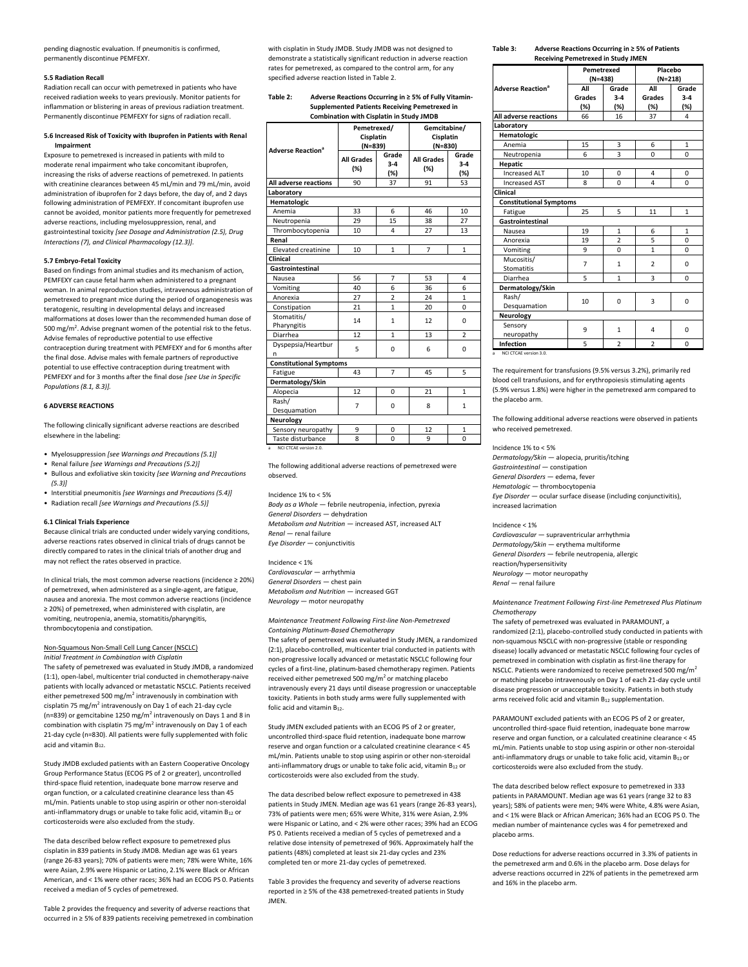pending diagnostic evaluation. If pneumonitis is confirmed, permanently discontinue PEMFEXY.

#### **5.5 Radiation Recall**

Radiation recall can occur with pemetrexed in patients who have received radiation weeks to years previously. Monitor patients for inflammation or blistering in areas of previous radiation treatment. Permanently discontinue PEMFEXY for signs of radiation recall.

## **5.6 Increased Risk of Toxicity with Ibuprofen in Patients with Renal \_\_\_Impairment**

Exposure to pemetrexed is increased in patients with mild to moderate renal impairment who take concomitant ibuprofen, increasing the risks of adverse reactions of pemetrexed. In patients with creatinine clearances between 45 mL/min and 79 mL/min, avoid administration of ibuprofen for 2 days before, the day of, and 2 days following administration of PEMFEXY. If concomitant ibuprofen use cannot be avoided, monitor patients more frequently for pemetrexed adverse reactions, including myelosuppression, renal, and gastrointestinal toxicity *[see Dosage and Administration (2.5), Drug Interactions (7), and Clinical Pharmacology (12.3)].*

## **5.7 Embryo-Fetal Toxicity**

Based on findings from animal studies and its mechanism of action, PEMFEXY can cause fetal harm when administered to a pregnant woman. In animal reproduction studies, intravenous administration of pemetrexed to pregnant mice during the period of organogenesis was teratogenic, resulting in developmental delays and increased malformations at doses lower than the recommended human dose of 500 mg/m<sup>2</sup>. Advise pregnant women of the potential risk to the fetus. Advise females of reproductive potential to use effective contraception during treatment with PEMFEXY and for 6 months after the final dose. Advise males with female partners of reproductive potential to use effective contraception during treatment with PEMFEXY and for 3 months after the final dose *[see Use in Specific Populations (8.1, 8.3)].*

## **6 ADVERSE REACTIONS**

The following clinically significant adverse reactions are described elsewhere in the labeling:

- •\_Myelosuppression *[see Warnings and Precautions (5.1)]*
- •\_Renal failure *[see Warnings and Precautions (5.2)]*
- •\_Bullous and exfoliative skin toxicity *[see Warning and Precautions \_\_(5.3)]*
- •\_Interstitial pneumonitis *[see Warnings and Precautions (5.4)]* •\_Radiation recall *[see Warnings and Precautions (5.5)]*

#### **6.1 Clinical Trials Experience**

Because clinical trials are conducted under widely varying conditions, adverse reactions rates observed in clinical trials of drugs cannot be directly compared to rates in the clinical trials of another drug and may not reflect the rates observed in practice.

In clinical trials, the most common adverse reactions (incidence ≥ 20%) of pemetrexed, when administered as a single-agent, are fatigue, nausea and anorexia. The most common adverse reactions (incidence ≥ 20%) of pemetrexed, when administered with cisplatin, are vomiting, neutropenia, anemia, stomatitis/pharyngitis, thrombocytopenia and constipation.

## Non-Squamous Non-Small Cell Lung Cancer (NSCLC) *Initial Treatment in Combination with Cisplatin*

The safety of pemetrexed was evaluated in Study JMDB, a randomized (1:1), open-label, multicenter trial conducted in chemotherapy-naive patients with locally advanced or metastatic NSCLC. Patients received either pemetrexed 500 mg/m<sup>2</sup> intravenously in combination with cisplatin 75 mg/m<sup>2</sup> intravenously on Day 1 of each 21-day cycle (n=839) or gemcitabine 1250 mg/m<sup>2</sup> intravenously on Days 1 and 8 in combination with cisplatin 75 mg/m<sup>2</sup> intravenously on Day 1 of each 21-day cycle (n=830). All patients were fully supplemented with folic acid and vitamin B12.

Study JMDB excluded patients with an Eastern Cooperative Oncology Group Performance Status (ECOG PS of 2 or greater), uncontrolled third-space fluid retention, inadequate bone marrow reserve and organ function, or a calculated creatinine clearance less than 45 mL/min. Patients unable to stop using aspirin or other non-steroidal anti-inflammatory drugs or unable to take folic acid, vitamin  $B_{12}$  or corticosteroids were also excluded from the study.

The data described below reflect exposure to pemetrexed plus cisplatin in 839 patients in Study JMDB. Median age was 61 years (range 26-83 years); 70% of patients were men; 78% were White, 16% were Asian, 2.9% were Hispanic or Latino, 2.1% were Black or African American, and < 1% were other races; 36% had an ECOG PS 0. Patients received a median of 5 cycles of pemetrexed.

Table 2 provides the frequency and severity of adverse reactions that occurred in ≥ 5% of 839 patients receiving pemetrexed in combination with cisplatin in Study JMDB. Study JMDB was not designed to demonstrate a statistically significant reduction in adverse reaction rates for pemetrexed, as compared to the control arm, for any specified adverse reaction listed in Table 2.

#### **Table 2:\_\_\_\_\_Adverse Reactions Occurring in ≥ 5% of Fully Vitamin- \_\_\_\_\_\_\_\_\_\_\_ Supplemented Patients Receiving Pemetrexed in \_\_\_\_\_\_\_\_\_\_\_ Combination with Cisplatin in Study JMDB**

| <b>Adverse Reaction<sup>a</sup></b> |                          | Pemetrexed/<br>Cisplatin<br>$(N=839)$ |                          | Gemcitabine/<br>Cisplatin<br>$(N=830)$ |  |
|-------------------------------------|--------------------------|---------------------------------------|--------------------------|----------------------------------------|--|
|                                     | <b>All Grades</b><br>(%) | Grade<br>$3-4$<br>(%)                 | <b>All Grades</b><br>(%) | Grade<br>$3-4$<br>(%)                  |  |
| All adverse reactions               | 90                       | 37                                    | 91                       | 53                                     |  |
| Laboratory                          |                          |                                       |                          |                                        |  |
| Hematologic                         |                          |                                       |                          |                                        |  |
| Anemia                              | 33                       | 6                                     | 46                       | 10                                     |  |
| Neutropenia                         | 29                       | 15                                    | 38                       | 27                                     |  |
| Thrombocytopenia                    | 10                       | 4                                     | 27                       | 13                                     |  |
| Renal                               |                          |                                       |                          |                                        |  |
| <b>Elevated creatinine</b>          | 10                       | $\mathbf{1}$                          | $\overline{7}$           | $\mathbf{1}$                           |  |
| Clinical                            |                          |                                       |                          |                                        |  |
| Gastrointestinal                    |                          |                                       |                          |                                        |  |
| Nausea                              | 56                       | 7                                     | 53                       | 4                                      |  |
| Vomiting                            | 40                       | 6                                     | 36                       | 6                                      |  |
| Anorexia                            | 27                       | $\overline{2}$                        | 24                       | $\mathbf{1}$                           |  |
| Constipation                        | 21                       | $\mathbf{1}$                          | 20                       | $\Omega$                               |  |
| Stomatitis/<br>Pharyngitis          | 14                       | $\mathbf{1}$                          | 12                       | $\Omega$                               |  |
| Diarrhea                            | 12                       | $\mathbf{1}$                          | 13                       | $\overline{2}$                         |  |
| Dyspepsia/Heartbur<br>n             | 5                        | 0                                     | 6                        | 0                                      |  |
| <b>Constitutional Symptoms</b>      |                          |                                       |                          |                                        |  |
| Fatigue                             | 43                       | $\overline{7}$                        | 45                       | 5                                      |  |
| Dermatology/Skin                    |                          |                                       |                          |                                        |  |
| Alopecia                            | 12                       | $\Omega$                              | 21                       | 1                                      |  |
| Rash/<br>Desquamation               | $\overline{7}$           | $\Omega$                              | 8                        | $\mathbf{1}$                           |  |
| Neurology                           |                          |                                       |                          |                                        |  |
| Sensory neuropathy                  | 9                        | 0                                     | 12                       | 1                                      |  |
| Taste disturbance                   | 8                        | $\Omega$                              | 9                        | $\Omega$                               |  |

The following additional adverse reactions of pemetrexed were observed.

Incidence 1% to < 5%

*Body as a Whole* — febrile neutropenia, infection, pyrexia *General Disorders* — dehydration *Metabolism and Nutrition* — increased AST, increased ALT *Renal* — renal failure *Eye Disorder* — conjunctivitis

Incidence < 1% *Cardiovascular* — arrhythmia *General Disorders* — chest pain *Metabolism and Nutrition* — increased GGT *Neurology* — motor neuropathy

*Maintenance Treatment Following First-line Non-Pemetrexed Containing Platinum-Based Chemotherapy*

The safety of pemetrexed was evaluated in Study JMEN, a randomized (2:1), placebo-controlled, multicenter trial conducted in patients with non-progressive locally advanced or metastatic NSCLC following four cycles of a first-line, platinum-based chemotherapy regimen. Patients received either pemetrexed 500 mg/ $m^2$  or matching placebo intravenously every 21 days until disease progression or unacceptable toxicity. Patients in both study arms were fully supplemented with folic acid and vitamin B<sub>12</sub>.

Study JMEN excluded patients with an ECOG PS of 2 or greater, uncontrolled third-space fluid retention, inadequate bone marrow reserve and organ function or a calculated creatinine clearance < 45 mL/min. Patients unable to stop using aspirin or other non-steroidal anti-inflammatory drugs or unable to take folic acid, vitamin B<sub>12</sub> or corticosteroids were also excluded from the study.

The data described below reflect exposure to pemetrexed in 438 patients in Study JMEN. Median age was 61 years (range 26-83 years), 73% of patients were men; 65% were White, 31% were Asian, 2.9% were Hispanic or Latino, and < 2% were other races; 39% had an ECOG PS 0. Patients received a median of 5 cycles of pemetrexed and a relative dose intensity of pemetrexed of 96%. Approximately half the patients (48%) completed at least six 21-day cycles and 23% completed ten or more 21-day cycles of pemetrexed.

Table 3 provides the frequency and severity of adverse reactions reported in ≥ 5% of the 438 pemetrexed-treated patients in Study JMEN.

#### **Table 3:\_\_\_\_\_Adverse Reactions Occurring in ≥ 5% of Patients \_\_\_\_\_\_\_\_\_\_\_ Receiving Pemetrexed in Study JMEN**

|                                     | Pemetrexed     |                         | Placebo                 |              |
|-------------------------------------|----------------|-------------------------|-------------------------|--------------|
|                                     | $(N=438)$      |                         | $(N=218)$               |              |
| <b>Adverse Reaction<sup>a</sup></b> | All            | Grade                   | All                     | Grade        |
|                                     | Grades         | $3-4$                   | Grades                  | $3-4$        |
|                                     | (%)            | (%)                     | (%)                     | (%)          |
| <b>All adverse reactions</b>        | 66             | 16                      | 37                      | 4            |
| Laboratory                          |                |                         |                         |              |
| Hematologic                         |                |                         |                         |              |
| Anemia                              | 15             | 3                       | 6                       | $\mathbf{1}$ |
| Neutropenia                         | 6              | 3                       | 0                       | $\Omega$     |
| <b>Hepatic</b>                      |                |                         |                         |              |
| <b>Increased ALT</b>                | 10             | 0                       | 4                       | 0            |
| <b>Increased AST</b>                | 8              | $\Omega$                | 4                       | $\Omega$     |
| Clinical                            |                |                         |                         |              |
| <b>Constitutional Symptoms</b>      |                |                         |                         |              |
| Fatigue                             | 25             | 5                       | 11                      | $\mathbf{1}$ |
| Gastrointestinal                    |                |                         |                         |              |
| Nausea                              | 19             | 1                       | 6                       | 1            |
| Anorexia                            | 19             | $\overline{a}$          | 5                       | $\Omega$     |
| Vomiting                            | 9              | $\Omega$                | $\overline{1}$          | $\Omega$     |
| Mucositis/                          | $\overline{7}$ | $\overline{1}$          | $\overline{2}$          | $\Omega$     |
| Stomatitis                          |                |                         |                         |              |
| Diarrhea                            | 5              | $\mathbf{1}$            | 3                       | $\Omega$     |
| Dermatology/Skin                    |                |                         |                         |              |
| Rash/                               | 10             | $\Omega$                | 3                       | $\Omega$     |
| Desquamation                        |                |                         |                         |              |
| Neurology                           |                |                         |                         |              |
| Sensory                             | 9              | 1                       | 4                       | 0            |
| neuropathy                          |                |                         |                         |              |
| Infection                           | 5              | $\overline{\mathbf{z}}$ | $\overline{\mathbf{z}}$ | $\Omega$     |
| NCI CTCAE version 3.0.<br>a         |                |                         |                         |              |

The requirement for transfusions (9.5% versus 3.2%), primarily red blood cell transfusions, and for erythropoiesis stimulating agents (5.9% versus 1.8%) were higher in the pemetrexed arm compared to the placebo arm.

The following additional adverse reactions were observed in patients who received pemetrexed.

Incidence 1% to < 5% *Dermatology/Skin* — alopecia, pruritis/itching *Gastrointestinal* — constipation *General Disorders* — edema, fever *Hematologic* — thrombocytopenia *Eye Disorder* — ocular surface disease (including conjunctivitis), increased lacrimation

Incidence < 1% *Cardiovascular* — supraventricular arrhythmia *Dermatology/Skin* — erythema multiforme *General Disorders* — febrile neutropenia, allergic reaction/hypersensitivity *Neurology* — motor neuropathy *Renal* — renal failure

*Maintenance Treatment Following First-line Pemetrexed Plus Platinum Chemotherapy*

The safety of pemetrexed was evaluated in PARAMOUNT, a randomized (2:1), placebo-controlled study conducted in patients with non-squamous NSCLC with non-progressive (stable or responding disease) locally advanced or metastatic NSCLC following four cycles of pemetrexed in combination with cisplatin as first-line therapy for NSCLC. Patients were randomized to receive pemetrexed 500 mg/ $m^2$ or matching placebo intravenously on Day 1 of each 21-day cycle until disease progression or unacceptable toxicity. Patients in both study arms received folic acid and vitamin B<sub>12</sub> supplementation.

PARAMOUNT excluded patients with an ECOG PS of 2 or greater, uncontrolled third-space fluid retention, inadequate bone marrow reserve and organ function, or a calculated creatinine clearance < 45 mL/min. Patients unable to stop using aspirin or other non-steroidal anti-inflammatory drugs or unable to take folic acid, vitamin  $B_{12}$  or corticosteroids were also excluded from the study.

The data described below reflect exposure to pemetrexed in 333 patients in PARAMOUNT. Median age was 61 years (range 32 to 83 years); 58% of patients were men; 94% were White, 4.8% were Asian, and < 1% were Black or African American; 36% had an ECOG PS 0. The median number of maintenance cycles was 4 for pemetrexed and placebo arms.

Dose reductions for adverse reactions occurred in 3.3% of patients in the pemetrexed arm and 0.6% in the placebo arm. Dose delays for adverse reactions occurred in 22% of patients in the pemetrexed arm and 16% in the placebo arm.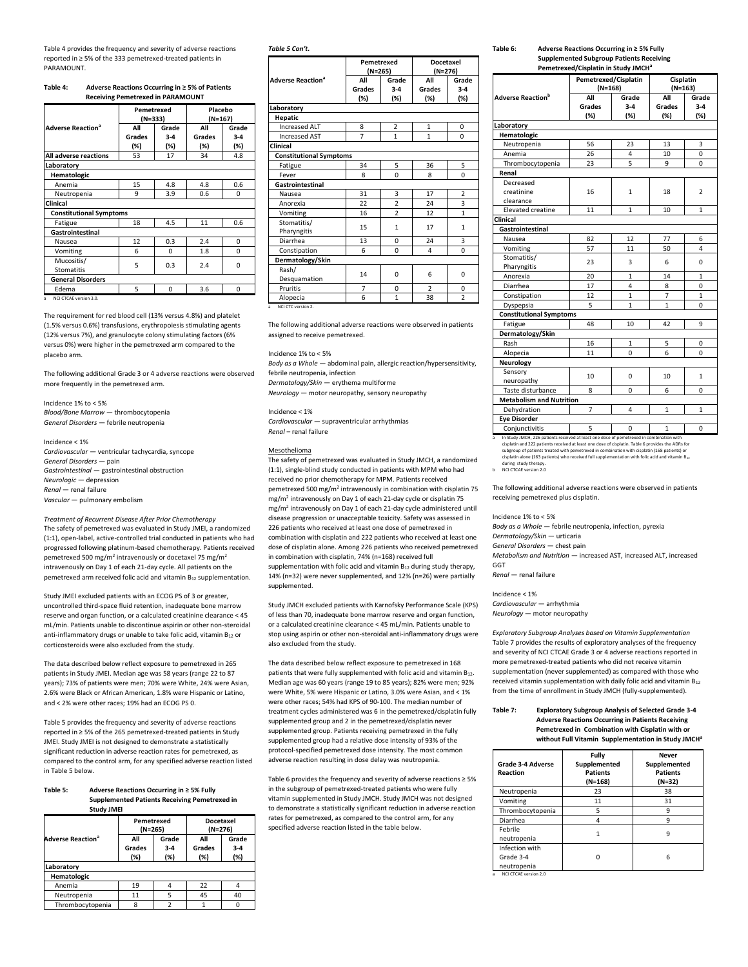Table 4 provides the frequency and severity of adverse reactions reported in ≥ 5% of the 333 pemetrexed-treated patients in PARAMOUNT.

## **Table 4:\_\_\_\_\_Adverse Reactions Occurring in ≥ 5% of Patients \_\_\_\_\_\_\_\_\_\_\_ Receiving Pemetrexed in PARAMOUNT**

|                                     | Pemetrexed<br>(N=333) |                       | Placebo<br>$(N=167)$ |                       |
|-------------------------------------|-----------------------|-----------------------|----------------------|-----------------------|
| <b>Adverse Reaction<sup>a</sup></b> | All<br>Grades<br>(%)  | Grade<br>$3-4$<br>(%) | All<br>Grades<br>(%) | Grade<br>$3-4$<br>(%) |
| All adverse reactions               | 53                    | 17                    | 34                   | 4.8                   |
| Laboratory                          |                       |                       |                      |                       |
| Hematologic                         |                       |                       |                      |                       |
| Anemia                              | 15                    | 4.8                   | 4.8                  | 0.6                   |
| Neutropenia                         | 9                     | 3.9                   | 0.6                  | 0                     |
| Clinical                            |                       |                       |                      |                       |
| <b>Constitutional Symptoms</b>      |                       |                       |                      |                       |
| Fatigue                             | 18                    | 4.5                   | 11                   | 0.6                   |
| Gastrointestinal                    |                       |                       |                      |                       |
| Nausea                              | 12                    | 0.3                   | 2.4                  | 0                     |
| Vomiting                            | 6                     | 0                     | 1.8                  | 0                     |
| Mucositis/<br><b>Stomatitis</b>     | 5                     | 0.3                   | 2.4                  | 0                     |
| <b>General Disorders</b>            |                       |                       |                      |                       |
| Edema                               | 5                     | $\Omega$              | 3.6                  | $\Omega$              |

The requirement for red blood cell (13% versus 4.8%) and platelet (1.5% versus 0.6%) transfusions, erythropoiesis stimulating agents (12% versus 7%), and granulocyte colony stimulating factors (6% versus 0%) were higher in the pemetrexed arm compared to the placebo arm.

The following additional Grade 3 or 4 adverse reactions were observed more frequently in the pemetrexed arm.

Incidence 1% to < 5% *Blood/Bone Marrow* — thrombocytopenia *General Disorders* — febrile neutropenia

Incidence < 1% *Cardiovascular* — ventricular tachycardia, syncope *General Disorders* — pain *Gastrointestinal* — gastrointestinal obstruction *Neurologic* — depression *Renal* — renal failure *Vascular* — pulmonary embolism

*Treatment of Recurrent Disease After Prior Chemotherapy* The safety of pemetrexed was evaluated in Study JMEI, a randomized (1:1), open-label, active-controlled trial conducted in patients who had progressed following platinum-based chemotherapy. Patients received pemetrexed 500 mg/m<sup>2</sup> intravenously or docetaxel 75 mg/m<sup>2</sup> intravenously on Day 1 of each 21-day cycle. All patients on the pemetrexed arm received folic acid and vitamin B<sup>12</sup> supplementation.

Study JMEI excluded patients with an ECOG PS of 3 or greater, uncontrolled third-space fluid retention, inadequate bone marrow reserve and organ function, or a calculated creatinine clearance < 45 mL/min. Patients unable to discontinue aspirin or other non-steroidal anti-inflammatory drugs or unable to take folic acid, vitamin B<sub>12</sub> or corticosteroids were also excluded from the study.

The data described below reflect exposure to pemetrexed in 265 patients in Study JMEI. Median age was 58 years (range 22 to 87 years); 73% of patients were men; 70% were White, 24% were Asian, 2.6% were Black or African American, 1.8% were Hispanic or Latino, and < 2% were other races; 19% had an ECOG PS 0.

Table 5 provides the frequency and severity of adverse reactions reported in ≥ 5% of the 265 pemetrexed-treated patients in Study JMEI. Study JMEI is not designed to demonstrate a statistically significant reduction in adverse reaction rates for pemetrexed, as compared to the control arm, for any specified adverse reaction listed in Table 5 below.

#### **Table 5:\_\_\_\_\_ Adverse Reactions Occurring in ≥ 5% Fully \_\_\_\_\_\_\_\_\_\_\_\_ Supplemented Patients Receiving Pemetrexed in \_\_\_\_\_\_\_\_\_\_\_\_ Study JMEI**

|                                     | Pemetrexed<br>(N=265) |                       | Docetaxel<br>(N=276) |                         |
|-------------------------------------|-----------------------|-----------------------|----------------------|-------------------------|
| <b>Adverse Reaction<sup>a</sup></b> | All<br>Grades<br>(%)  | Grade<br>$3-4$<br>(%) | All<br>Grades<br>(%) | Grade<br>$3 - 4$<br>(%) |
| Laboratory                          |                       |                       |                      |                         |
| Hematologic                         |                       |                       |                      |                         |
| Anemia                              | 19                    |                       | 22                   |                         |
| Neutropenia                         | 11                    | 5                     | 45                   | 40                      |
| Thrombocytopenia                    | я                     | ר                     |                      |                         |

#### *Table 5 Con't.*

|                                     |                | Pemetrexed<br>(N=265) |                | <b>Docetaxel</b><br>(N=276) |
|-------------------------------------|----------------|-----------------------|----------------|-----------------------------|
| <b>Adverse Reaction<sup>a</sup></b> | All            | Grade                 | All            | Grade                       |
|                                     | <b>Grades</b>  | $3-4$                 | Grades         | $3-4$                       |
|                                     | (%)            | (%)                   | (%)            | (%)                         |
| Laboratory                          |                |                       |                |                             |
| <b>Hepatic</b>                      |                |                       |                |                             |
| <b>Increased ALT</b>                | 8              | $\overline{2}$        | 1              | $\Omega$                    |
| <b>Increased AST</b>                | $\overline{7}$ | $\mathbf{1}$          | $\mathbf{1}$   | $\Omega$                    |
| Clinical                            |                |                       |                |                             |
| <b>Constitutional Symptoms</b>      |                |                       |                |                             |
| Fatigue                             | 34             | 5                     | 36             | 5                           |
| Fever                               | 8              | $\Omega$              | 8              | $\Omega$                    |
| Gastrointestinal                    |                |                       |                |                             |
| Nausea                              | 31             | 3                     | 17             | $\overline{2}$              |
| Anorexia                            | 22             | $\overline{2}$        | 24             | 3                           |
| Vomiting                            | 16             | $\overline{a}$        | 12             | $\mathbf{1}$                |
| Stomatitis/                         | 15             | $\mathbf{1}$          | 17             | $\mathbf{1}$                |
| Pharyngitis                         |                |                       |                |                             |
| Diarrhea                            | 13             | 0                     | 24             | 3                           |
| Constipation                        | 6              | 0                     | 4              | $\Omega$                    |
| Dermatology/Skin                    |                |                       |                |                             |
| Rash/                               | 14             | $\Omega$              | 6              | $\Omega$                    |
| Desquamation                        |                |                       |                |                             |
| Pruritis                            | $\overline{7}$ | 0                     | $\overline{2}$ | 0                           |
| Alopecia                            | 6              | $\mathbf{1}$          | 38             | $\overline{2}$              |

The following additional adverse reactions were observed in patients assigned to receive pemetrexed.

Incidence 1% to < 5% *Body as a Whole* — abdominal pain, allergic reaction/hypersensitivity, febrile neutropenia, infection *Dermatology/Skin* — erythema multiforme *Neurology* — motor neuropathy, sensory neuropathy

Incidence < 1% *Cardiovascular* — supraventricular arrhythmias *Renal* – renal failure

#### Mesothelioma

The safety of pemetrexed was evaluated in Study JMCH, a randomized (1:1), single-blind study conducted in patients with MPM who had received no prior chemotherapy for MPM. Patients received pemetrexed 500 mg/m<sup>2</sup> intravenously in combination with cisplatin 75 mg/m<sup>2</sup> intravenously on Day 1 of each 21-day cycle or cisplatin 75 mg/m<sup>2</sup> intravenously on Day 1 of each 21-day cycle administered until disease progression or unacceptable toxicity. Safety was assessed in 226 patients who received at least one dose of pemetrexed in combination with cisplatin and 222 patients who received at least one dose of cisplatin alone. Among 226 patients who received pemetrexed in combination with cisplatin, 74% (n=168) received full supplementation with folic acid and vitamin  $B_{12}$  during study therapy, 14% (n=32) were never supplemented, and 12% (n=26) were partially supplemented.

Study JMCH excluded patients with Karnofsky Performance Scale (KPS) of less than 70, inadequate bone marrow reserve and organ function, or a calculated creatinine clearance < 45 mL/min. Patients unable to stop using aspirin or other non-steroidal anti-inflammatory drugs were also excluded from the study.

The data described below reflect exposure to pemetrexed in 168 patients that were fully supplemented with folic acid and vitamin B<sub>12</sub>. Median age was 60 years (range 19 to 85 years); 82% were men; 92% were White, 5% were Hispanic or Latino, 3.0% were Asian, and < 1% were other races; 54% had KPS of 90-100. The median number of treatment cycles administered was 6 in the pemetrexed/cisplatin fully supplemented group and 2 in the pemetrexed/cisplatin never supplemented group. Patients receiving pemetrexed in the fully supplemented group had a relative dose intensity of 93% of the protocol-specified pemetrexed dose intensity. The most common adverse reaction resulting in dose delay was neutropenia.

Table 6 provides the frequency and severity of adverse reactions ≥ 5% in the subgroup of pemetrexed-treated patients who were fully vitamin supplemented in Study JMCH. Study JMCH was not designed to demonstrate a statistically significant reduction in adverse reaction rates for pemetrexed, as compared to the control arm, for any specified adverse reaction listed in the table below.

# **Table 6:\_\_\_\_\_ Adverse Reactions Occurring in ≥ 5% Fully \_\_\_\_\_\_\_\_\_\_\_\_ Supplemented Subgroup Patients Receiving**

|                                      | Pemetrexed/Cisplatin in Study JMCH <sup>a</sup> |                                   |                      |                        |  |
|--------------------------------------|-------------------------------------------------|-----------------------------------|----------------------|------------------------|--|
|                                      |                                                 | Pemetrexed/Cisplatin<br>$(N=168)$ |                      | Cisplatin<br>$(N=163)$ |  |
| <b>Adverse Reaction</b> b            | All<br>Grades<br>(%)                            | Grade<br>$3-4$<br>(%)             | All<br>Grades<br>(%) | Grade<br>$3-4$<br>(%)  |  |
| Laboratory                           |                                                 |                                   |                      |                        |  |
| Hematologic                          |                                                 |                                   |                      |                        |  |
| Neutropenia                          | 56                                              | 23                                | 13                   | 3                      |  |
| Anemia                               | 26                                              | 4                                 | 10                   | 0                      |  |
| Thrombocytopenia                     | 23                                              | 5                                 | 9                    | 0                      |  |
| Renal                                |                                                 |                                   |                      |                        |  |
| Decreased<br>creatinine<br>clearance | 16                                              | $\mathbf{1}$                      | 18                   | $\overline{2}$         |  |
| Elevated creatine                    | 11                                              | $\mathbf{1}$                      | 10                   | 1                      |  |
| Clinical                             |                                                 |                                   |                      |                        |  |
| Gastrointestinal                     |                                                 |                                   |                      |                        |  |
| Nausea                               | 82                                              | 12                                | 77                   | 6                      |  |
| Vomiting                             | 57                                              | 11                                | 50                   | 4                      |  |
| Stomatitis/<br>Pharyngitis           | 23                                              | 3                                 | 6                    | 0                      |  |
| Anorexia                             | 20                                              | 1                                 | 14                   | 1                      |  |
| Diarrhea                             | 17                                              | 4                                 | 8                    | 0                      |  |
| Constipation                         | 12                                              | $\mathbf{1}$                      | $\overline{7}$       | $\mathbf{1}$           |  |
| Dyspepsia                            | 5                                               | $\mathbf{1}$                      | $\mathbf{1}$         | 0                      |  |
| <b>Constitutional Symptoms</b>       |                                                 |                                   |                      |                        |  |
| Fatigue                              | 48                                              | 10                                | 42                   | 9                      |  |
| Dermatology/Skin                     |                                                 |                                   |                      |                        |  |
| Rash                                 | 16                                              | 1                                 | 5                    | 0                      |  |
| Alopecia                             | 11                                              | $\Omega$                          | 6                    | 0                      |  |
| <b>Neurology</b>                     |                                                 |                                   |                      |                        |  |
| Sensory<br>neuropathy                | 10                                              | 0                                 | 10                   | 1                      |  |
| Taste disturbance                    | 8                                               | 0                                 | 6                    | 0                      |  |
| <b>Metabolism and Nutrition</b>      |                                                 |                                   |                      |                        |  |
| Dehydration                          | $\overline{7}$                                  | 4                                 | 1                    | 1                      |  |
| <b>Eye Disorder</b>                  |                                                 |                                   |                      |                        |  |
| Conjunctivitis                       | 5                                               | 0                                 | $\mathbf{1}$         | 0                      |  |

a In Study JMCH, 226 patients received at least one dose of pemetrexed in combination with<br>cisplatin and 222 patients received at least one dose of cisplatin. Table 6 provides the ADRs for<br>subgroup of patients treated with

during study therapy.<br>b NCI CTCAE version 2.0

The following additional adverse reactions were observed in patients receiving pemetrexed plus cisplatin.

Incidence 1% to < 5%

*Body as a Whole* — febrile neutropenia, infection, pyrexia

*Dermatology/Skin* — urticaria *General Disorders* — chest pain

*Metabolism and Nutrition* — increased AST, increased ALT, increased

GGT *Renal* — renal failure

#### Incidence < 1%

*Cardiovascular* — arrhythmia *Neurology* — motor neuropathy

*Exploratory Subgroup Analyses based on Vitamin Supplementation* Table 7 provides the results of exploratory analyses of the frequency and severity of NCI CTCAE Grade 3 or 4 adverse reactions reported in more pemetrexed-treated patients who did not receive vitamin supplementation (never supplemented) as compared with those who received vitamin supplementation with daily folic acid and vitamin  $B_{12}$ from the time of enrollment in Study JMCH (fully-supplemented).

#### **Table 7:\_\_\_\_\_**.**Exploratory Subgroup Analysis of Selected Grade 3-4 \_\_\_\_\_\_\_\_\_\_\_\_Adverse Reactions Occurring in Patients Receiving \_\_\_\_\_\_\_\_\_\_\_\_Pemetrexed in Combination with Cisplatin with or \_\_\_\_\_\_\_\_\_\_\_\_without Full Vitamin Supplementation in Study JMCH<sup>a</sup>**

| Grade 3-4 Adverse<br>Reaction              | Fully<br>Supplemented<br><b>Patients</b><br>$(N=168)$ | <b>Never</b><br>Supplemented<br><b>Patients</b><br>(N=32) |
|--------------------------------------------|-------------------------------------------------------|-----------------------------------------------------------|
| Neutropenia                                | 23                                                    | 38                                                        |
| Vomiting                                   | 11                                                    | 31                                                        |
| Thrombocytopenia                           | 5                                                     | 9                                                         |
| Diarrhea                                   |                                                       | 9                                                         |
| Febrile<br>neutropenia                     |                                                       | ٩                                                         |
| Infection with<br>Grade 3-4<br>neutropenia |                                                       | 6                                                         |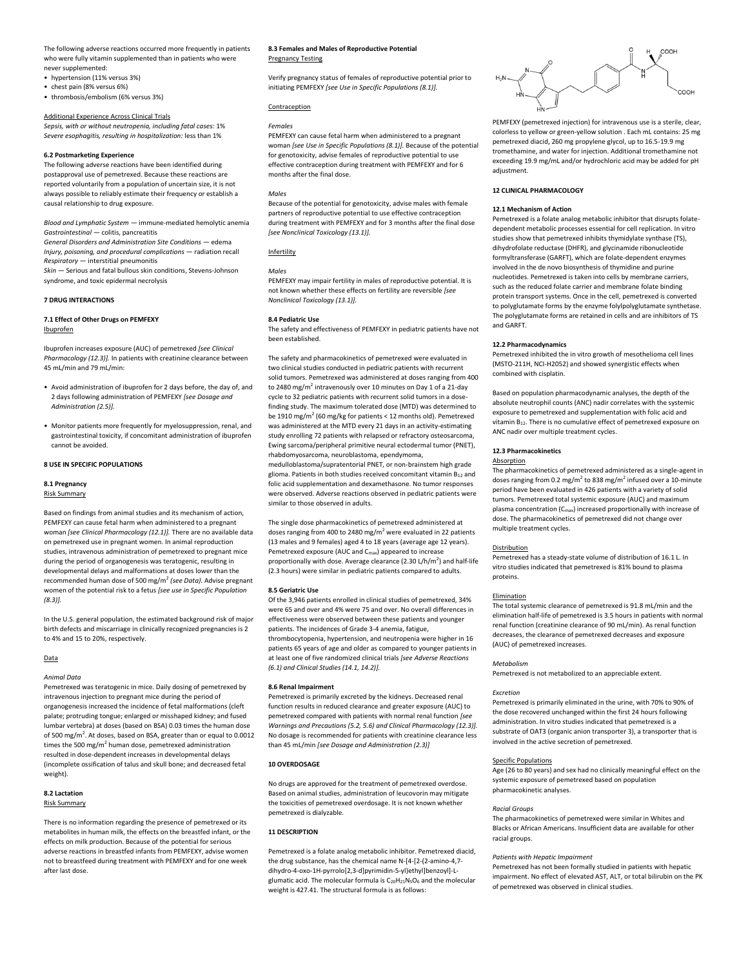The following adverse reactions occurred more frequently in patients who were fully vitamin supplemented than in patients who were never supplemented:

• hypertension (11% versus 3%)

- chest pain (8% versus 6%)
- thrombosis/embolism (6% versus 3%)

#### Additional Experience Across Clinical Trials

*Sepsis, with or without neutropenia, including fatal cases:* 1% *Severe esophagitis, resulting in hospitalization:* less than 1%

## **6.2 Postmarketing Experience**

The following adverse reactions have been identified during postapproval use of pemetrexed. Because these reactions are reported voluntarily from a population of uncertain size, it is not always possible to reliably estimate their frequency or establish a causal relationship to drug exposure.

*Blood and Lymphatic System* — immune-mediated hemolytic anemia *Gastrointestinal* — colitis, pancreatitis

*General Disorders and Administration Site Conditions* — edema *Injury, poisoning, and procedural complications* — radiation recall *Respiratory* — interstitial pneumonitis *Skin* — Serious and fatal bullous skin conditions, Stevens-Johnson

syndrome, and toxic epidermal necrolysis

## **7 DRUG INTERACTIONS**

## **7.1 Effect of Other Drugs on PEMFEXY**

Ibuprofen

Ibuprofen increases exposure (AUC) of pemetrexed *[see Clinical Pharmacology (12.3)].* In patients with creatinine clearance between 45 mL/min and 79 mL/min:

- •\_Avoid administration of ibuprofen for 2 days before, the day of, and \_\_2 days following administration of PEMFEXY *[see Dosage and \_\_Administration (2.5)].*
- •\_Monitor patients more frequently for myelosuppression, renal, and \_\_gastrointestinal toxicity, if concomitant administration of ibuprofen \_\_cannot be avoided.

#### **8 USE IN SPECIFIC POPULATIONS**

#### **8.1 Pregnancy**

#### Risk Summary

Based on findings from animal studies and its mechanism of action, PEMFEXY can cause fetal harm when administered to a pregnant woman *[see Clinical Pharmacology (12.1)].* There are no available data on pemetrexed use in pregnant women. In animal reproduction studies, intravenous administration of pemetrexed to pregnant mice during the period of organogenesis was teratogenic, resulting in developmental delays and malformations at doses lower than the recommended human dose of 500 mg/m<sup>2</sup> *(see Data).* Advise pregnant women of the potential risk to a fetus *[see use in Specific Population (8.3)].*

In the U.S. general population, the estimated background risk of major birth defects and miscarriage in clinically recognized pregnancies is 2 to 4% and 15 to 20%, respectively.

#### Data

#### *Animal Data*

Pemetrexed was teratogenic in mice. Daily dosing of pemetrexed by intravenous injection to pregnant mice during the period of organogenesis increased the incidence of fetal malformations (cleft palate; protruding tongue; enlarged or misshaped kidney; and fused lumbar vertebra) at doses (based on BSA) 0.03 times the human dose of 500 mg/m<sup>2</sup>. At doses, based on BSA, greater than or equal to 0.0012 times the 500 mg/m<sup>2</sup> human dose, pemetrexed administration resulted in dose-dependent increases in developmental delays (incomplete ossification of talus and skull bone; and decreased fetal weight).

## **8.2 Lactation**

## Risk Summary

There is no information regarding the presence of pemetrexed or its metabolites in human milk, the effects on the breastfed infant, or the effects on milk production. Because of the potential for serious adverse reactions in breastfed infants from PEMFEXY, advise women not to breastfeed during treatment with PEMFEXY and for one week after last dose.

## **8.3 Females and Males of Reproductive Potential** Pregnancy Testing

Verify pregnancy status of females of reproductive potential prior to initiating PEMFEXY *[see Use in Specific Populations (8.1)].*

## Contraception

## *Females*

PEMFEXY can cause fetal harm when administered to a pregnant woman *[see Use in Specific Populations (8.1)].* Because of the potential for genotoxicity, advise females of reproductive potential to use effective contraception during treatment with PEMFEXY and for 6 months after the final dose.

## *Males*

Because of the potential for genotoxicity, advise males with female partners of reproductive potential to use effective contraception during treatment with PEMFEXY and for 3 months after the final dose *[see Nonclinical Toxicology (13.1)].*

#### Infertility

*Males* PEMFEXY may impair fertility in males of reproductive potential. It is not known whether these effects on fertility are reversible *[see Nonclinical Toxicology (13.1)].*

#### **8.4 Pediatric Use**

The safety and effectiveness of PEMFEXY in pediatric patients have not been established.

The safety and pharmacokinetics of pemetrexed were evaluated in two clinical studies conducted in pediatric patients with recurrent solid tumors. Pemetrexed was administered at doses ranging from 400 to 2480 mg/m<sup>2</sup> intravenously over 10 minutes on Day 1 of a 21-day cycle to 32 pediatric patients with recurrent solid tumors in a dosefinding study. The maximum tolerated dose (MTD) was determined to be 1910 mg/m<sup>2</sup> (60 mg/kg for patients < 12 months old). Pemetrexed was administered at the MTD every 21 days in an activity-estimating study enrolling 72 patients with relapsed or refractory osteosarcoma, Ewing sarcoma/peripheral primitive neural ectodermal tumor (PNET), rhabdomyosarcoma, neuroblastoma, ependymoma,

medulloblastoma/supratentorial PNET, or non-brainstem high grade glioma. Patients in both studies received concomitant vitamin  $B_{12}$  and folic acid supplementation and dexamethasone. No tumor responses were observed. Adverse reactions observed in pediatric patients were similar to those observed in adults.

The single dose pharmacokinetics of pemetrexed administered at doses ranging from 400 to 2480 mg/m<sup>2</sup> were evaluated in 22 patients (13 males and 9 females) aged 4 to 18 years (average age 12 years). Pemetrexed exposure (AUC and Cmax) appeared to increase proportionally with dose. Average clearance (2.30 L/h/m<sup>2</sup>) and half-life (2.3 hours) were similar in pediatric patients compared to adults.

## **8.5 Geriatric Use**

Of the 3,946 patients enrolled in clinical studies of pemetrexed, 34% were 65 and over and 4% were 75 and over. No overall differences in effectiveness were observed between these patients and younger patients. The incidences of Grade 3-4 anemia, fatigue, thrombocytopenia, hypertension, and neutropenia were higher in 16 patients 65 years of age and older as compared to younger patients in at least one of five randomized clinical trials *[see Adverse Reactions (6.1) and Clinical Studies (14.1, 14.2)].*

#### **8.6 Renal Impairment**

Pemetrexed is primarily excreted by the kidneys. Decreased renal function results in reduced clearance and greater exposure (AUC) to pemetrexed compared with patients with normal renal function *[see Warnings and Precautions (5.2, 5.6) and Clinical Pharmacology (12.3)].* No dosage is recommended for patients with creatinine clearance less than 45 mL/min *[see Dosage and Administration (2.3)]*

## **10 OVERDOSAGE**

No drugs are approved for the treatment of pemetrexed overdose. Based on animal studies, administration of leucovorin may mitigate the toxicities of pemetrexed overdosage. It is not known whether pemetrexed is dialyzable.

## **11 DESCRIPTION**

Pemetrexed is a folate analog metabolic inhibitor. Pemetrexed diacid, the drug substance, has the chemical name N-[4-[2-(2-amino-4,7 dihydro-4-oxo-1H-pyrrolo[2,3-d]pyrimidin-5-yl)ethyl]benzoyl]-Lglumatic acid. The molecular formula is C<sub>20</sub>H<sub>21</sub>N<sub>5</sub>O<sub>6</sub> and the molecular weight is 427.41. The structural formula is as follows:



PEMFEXY (pemetrexed injection) for intravenous use is a sterile, clear, colorless to yellow or green-yellow solution . Each mL contains: 25 mg pemetrexed diacid, 260 mg propylene glycol, up to 16.5-19.9 mg tromethamine, and water for injection. Additional tromethamine not exceeding 19.9 mg/mL and/or hydrochloric acid may be added for pH adjustment.

## **12 CLINICAL PHARMACOLOGY**

#### **12.1 Mechanism of Action**

Pemetrexed is a folate analog metabolic inhibitor that disrupts folatedependent metabolic processes essential for cell replication. In vitro studies show that pemetrexed inhibits thymidylate synthase (TS), dihydrofolate reductase (DHFR), and glycinamide ribonucleotide formyltransferase (GARFT), which are folate-dependent enzymes involved in the de novo biosynthesis of thymidine and purine nucleotides. Pemetrexed is taken into cells by membrane carriers, such as the reduced folate carrier and membrane folate binding protein transport systems. Once in the cell, pemetrexed is converted to polyglutamate forms by the enzyme folylpolyglutamate synthetase. The polyglutamate forms are retained in cells and are inhibitors of TS and GARFT.

#### **12.2 Pharmacodynamics**

Pemetrexed inhibited the in vitro growth of mesothelioma cell lines (MSTO-211H, NCI-H2052) and showed synergistic effects when combined with cisplatin.

Based on population pharmacodynamic analyses, the depth of the absolute neutrophil counts (ANC) nadir correlates with the systemic exposure to pemetrexed and supplementation with folic acid and vitamin  $B_{12}$ . There is no cumulative effect of pemetrexed exposure on ANC nadir over multiple treatment cycles.

#### **12.3 Pharmacokinetics**

#### Absorption

The pharmacokinetics of pemetrexed administered as a single-agent in doses ranging from 0.2 mg/m<sup>2</sup> to 838 mg/m<sup>2</sup> infused over a 10-minute period have been evaluated in 426 patients with a variety of solid tumors. Pemetrexed total systemic exposure (AUC) and maximum plasma concentration (C<sub>max</sub>) increased proportionally with increase of dose. The pharmacokinetics of pemetrexed did not change over multiple treatment cycles.

#### Distribution

Pemetrexed has a steady-state volume of distribution of 16.1 L. In vitro studies indicated that pemetrexed is 81% bound to plasma proteins.

#### Elimination

The total systemic clearance of pemetrexed is 91.8 mL/min and the elimination half-life of pemetrexed is 3.5 hours in patients with normal renal function (creatinine clearance of 90 mL/min). As renal function decreases, the clearance of pemetrexed decreases and exposure (AUC) of pemetrexed increases.

#### *Metabolism*

Pemetrexed is not metabolized to an appreciable extent.

## *Excretion*

Pemetrexed is primarily eliminated in the urine, with 70% to 90% of the dose recovered unchanged within the first 24 hours following administration. In vitro studies indicated that pemetrexed is a substrate of OAT3 (organic anion transporter 3), a transporter that is involved in the active secretion of pemetrexed.

## Specific Populations

Age (26 to 80 years) and sex had no clinically meaningful effect on the systemic exposure of pemetrexed based on population pharmacokinetic analyses.

#### *Racial Groups*

The pharmacokinetics of pemetrexed were similar in Whites and Blacks or African Americans. Insufficient data are available for other racial groups.

## *Patients with Hepatic Impairment*

Pemetrexed has not been formally studied in patients with hepatic impairment. No effect of elevated AST, ALT, or total bilirubin on the PK of pemetrexed was observed in clinical studies.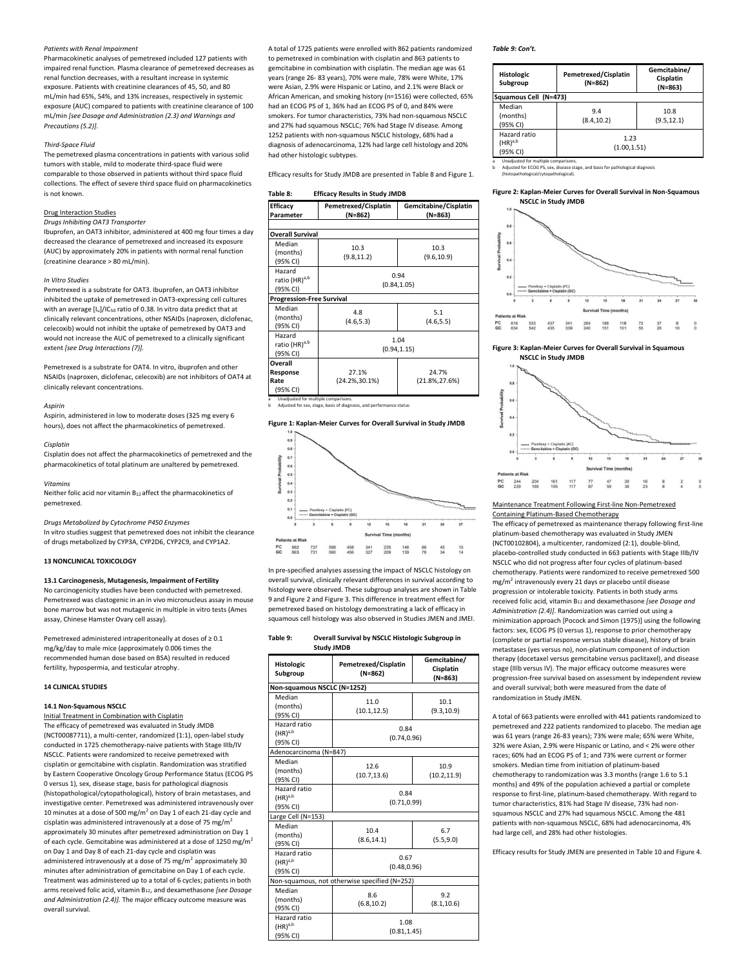#### *Patients with Renal Impairment*

Pharmacokinetic analyses of pemetrexed included 127 patients with impaired renal function. Plasma clearance of pemetrexed decreases as renal function decreases, with a resultant increase in systemic exposure. Patients with creatinine clearances of 45, 50, and 80 mL/min had 65%, 54%, and 13% increases, respectively in systemic exposure (AUC) compared to patients with creatinine clearance of 100 mL/min *[see Dosage and Administration (2.3) and Warnings and Precautions (5.2)].*

#### *Third-Space Fluid*

The pemetrexed plasma concentrations in patients with various solid tumors with stable, mild to moderate third-space fluid were comparable to those observed in patients without third space fluid collections. The effect of severe third space fluid on pharmacokinetics is not known.

## Drug Interaction Studies

*Drugs Inhibiting OAT3 Transporter* Ibuprofen, an OAT3 inhibitor, administered at 400 mg four times a day

decreased the clearance of pemetrexed and increased its exposure (AUC) by approximately 20% in patients with normal renal function (creatinine clearance > 80 mL/min).

## *In Vitro Studies*

Pemetrexed is a substrate for OAT3. Ibuprofen, an OAT3 inhibitor inhibited the uptake of pemetrexed in OAT3-expressing cell cultures with an average  $[I_{u}]/IC_{50}$  ratio of 0.38. In vitro data predict that at clinically relevant concentrations, other NSAIDs (naproxen, diclofenac, celecoxib) would not inhibit the uptake of pemetrexed by OAT3 and would not increase the AUC of pemetrexed to a clinically significant extent *[see Drug Interactions (7)].*

Pemetrexed is a substrate for OAT4. In vitro, ibuprofen and other NSAIDs (naproxen, diclofenac, celecoxib) are not inhibitors of OAT4 at clinically relevant concentrations.

#### *Aspirin*

Aspirin, administered in low to moderate doses (325 mg every 6 hours), does not affect the pharmacokinetics of pemetrexed.

#### *Cisplatin*

Cisplatin does not affect the pharmacokinetics of pemetrexed and the pharmacokinetics of total platinum are unaltered by pemetrexed.

#### *Vitamins*

Neither folic acid nor vitamin B12 affect the pharmacokinetics of pemetrexed.

*Drugs Metabolized by Cytochrome P450 Enzymes*

In vitro studies suggest that pemetrexed does not inhibit the clearance of drugs metabolized by CYP3A, CYP2D6, CYP2C9, and CYP1A2.

## **13 NONCLINICAL TOXICOLOGY**

#### **13.1 Carcinogenesis, Mutagenesis, Impairment of Fertility**

No carcinogenicity studies have been conducted with pemetrexed. Pemetrexed was clastogenic in an in vivo micronucleus assay in mouse bone marrow but was not mutagenic in multiple in vitro tests (Ames assay, Chinese Hamster Ovary cell assay).

Pemetrexed administered intraperitoneally at doses of ≥ 0.1 mg/kg/day to male mice (approximately 0.006 times the recommended human dose based on BSA) resulted in reduced fertility, hypospermia, and testicular atrophy.

## **14 CLINICAL STUDIES**

# **14.1 Non-Squamous NSCLC**

Initial Treatment in Combination with Cisplatin The efficacy of pemetrexed was evaluated in Study JMDB (NCT00087711), a multi-center, randomized (1:1), open-label study conducted in 1725 chemotherapy-naive patients with Stage IIIb/IV NSCLC. Patients were randomized to receive pemetrexed with cisplatin or gemcitabine with cisplatin. Randomization was stratified by Eastern Cooperative Oncology Group Performance Status (ECOG PS 0 versus 1), sex, disease stage, basis for pathological diagnosis (histopathological/cytopathological), history of brain metastases, and investigative center. Pemetrexed was administered intravenously over 10 minutes at a dose of 500 mg/m<sup>2</sup> on Day 1 of each 21-day cycle and cisplatin was administered intravenously at a dose of 75 mg/m<sup>2</sup> approximately 30 minutes after pemetrexed administration on Day 1 of each cycle. Gemcitabine was administered at a dose of 1250 mg/m<sup>2</sup> on Day 1 and Day 8 of each 21-day cycle and cisplatin was administered intravenously at a dose of 75 mg/m<sup>2</sup> approximately 30 minutes after administration of gemcitabine on Day 1 of each cycle. Treatment was administered up to a total of 6 cycles; patients in both arms received folic acid, vitamin B12, and dexamethasone *[see Dosage and Administration (2.4)].* The major efficacy outcome measure was overall survival.

A total of 1725 patients were enrolled with 862 patients randomized to pemetrexed in combination with cisplatin and 863 patients to gemcitabine in combination with cisplatin. The median age was 61 years (range 26- 83 years), 70% were male, 78% were White, 17% were Asian, 2.9% were Hispanic or Latino, and 2.1% were Black or African American, and smoking history (n=1516) were collected, 65% had an ECOG PS of 1, 36% had an ECOG PS of 0, and 84% were smokers. For tumor characteristics, 73% had non-squamous NSCLC and 27% had squamous NSCLC; 76% had Stage IV disease. Among 1252 patients with non-squamous NSCLC histology, 68% had a diagnosis of adenocarcinoma, 12% had large cell histology and 20% had other histologic subtypes.

Efficacy results for Study JMDB are presented in Table 8 and Figure 1.

## **Table 8:\_\_\_\_\_ Efficacy Results in Study JMDB**

| .                                               | $\frac{1}{2}$                   |                                  |  |
|-------------------------------------------------|---------------------------------|----------------------------------|--|
| Efficacy<br>Parameter                           | Pemetrexed/Cisplatin<br>(N=862) | Gemcitabine/Cisplatin<br>(N=863) |  |
|                                                 |                                 |                                  |  |
| <b>Overall Survival</b>                         |                                 |                                  |  |
| Median<br>(months)<br>(95% CI)                  | 10.3<br>(9.8, 11.2)             | 10.3<br>(9.6, 10.9)              |  |
| Hazard<br>ratio (HR) <sup>a,b</sup><br>(95% CI) | 0.94<br>(0.84, 1.05)            |                                  |  |
| <b>Progression-Free Survival</b>                |                                 |                                  |  |
| Median<br>(months)<br>(95% CI)                  | 4.8<br>(4.6, 5.3)               | 5.1<br>(4.6, 5.5)                |  |
| Hazard<br>ratio (HR) <sup>a,b</sup><br>(95% CI) | 1.04<br>(0.94, 1.15)            |                                  |  |
| Overall                                         |                                 |                                  |  |
| Response                                        | 27.1%                           | 24.7%                            |  |
| Rate                                            | $(24.2\%, 30.1\%)$              | $(21.8\%, 27.6\%)$               |  |
| (95% CI)                                        |                                 |                                  |  |
| Unadjusted for multiple comparisons.<br>a       |                                 |                                  |  |

a\_\_\_Unadjusted for multiple comparisons. b\_\_\_Adjusted for sex, stage, basis of diagnosis, and performance status

## **Figure 1: Kaplan-Meier Curves for Overall Survival in Study JMDB**



In pre-specified analyses assessing the impact of NSCLC histology on overall survival, clinically relevant differences in survival according to histology were observed. These subgroup analyses are shown in Table 9 and Figure 2 and Figure 3. This difference in treatment effect for pemetrexed based on histology demonstrating a lack of efficacy in squamous cell histology was also observed in Studies JMEN and JMEI.

| Table 9: | Overall Survival by NSCLC Histologic Subgroup in |  |
|----------|--------------------------------------------------|--|
|          | <b>Study JMDB</b>                                |  |

| <b>Histologic</b><br>Subgroup                 | Pemetrexed/Cisplatin<br>$(N=862)$ | Gemcitabine/<br>Cisplatin<br>$(N=863)$ |  |  |
|-----------------------------------------------|-----------------------------------|----------------------------------------|--|--|
| Non-squamous NSCLC (N=1252)                   |                                   |                                        |  |  |
| Median<br>(months)<br>(95% CI)                | 11.0<br>(10.1, 12.5)              | 10.1<br>(9.3, 10.9)                    |  |  |
| Hazard ratio<br>$(HR)^{a,b}$<br>(95% CI)      | 0.84<br>(0.74, 0.96)              |                                        |  |  |
| Adenocarcinoma (N=847)                        |                                   |                                        |  |  |
| Median<br>(months)<br>(95% CI)                | 12.6<br>(10.7, 13.6)              | 10.9<br>(10.2, 11.9)                   |  |  |
| Hazard ratio<br>$(HR)^{a,b}$<br>(95% CI)      | 0.84<br>(0.71, 0.99)              |                                        |  |  |
| Large Cell (N=153)                            |                                   |                                        |  |  |
| Median<br>(months)<br>(95% CI)                | 10.4<br>(8.6, 14.1)               | 6.7<br>(5.5, 9.0)                      |  |  |
| Hazard ratio<br>$(HR)^{a,b}$<br>(95% CI)      | 0.67<br>(0.48, 0.96)              |                                        |  |  |
| Non-squamous, not otherwise specified (N=252) |                                   |                                        |  |  |
| Median<br>(months)<br>(95% CI)                | 8.6<br>(6.8, 10.2)                | 9.2<br>(8.1, 10.6)                     |  |  |
| Hazard ratio<br>$(HR)^{a,b}$<br>(95% CI)      | 1.08<br>(0.81, 1.45)              |                                        |  |  |

## *Table 9: Con't.*

| <b>Histologic</b><br>Subgroup            | Pemetrexed/Cisplatin<br>$(N=862)$ | Gemcitabine/<br>Cisplatin<br>$(N=863)$ |
|------------------------------------------|-----------------------------------|----------------------------------------|
| Squamous Cell (N=473)                    |                                   |                                        |
| Median<br>(months)<br>(95% CI)           | 9.4<br>(8.4, 10.2)                | 10.8<br>(9.5, 12.1)                    |
| Hazard ratio<br>$(HR)^{a,b}$<br>(95% CI) | 1.23<br>(1.00, 1.51)              |                                        |

a\_\_\_Unadjusted for multiple comparisons. b\_\_\_Adjusted for ECOG PS, sex, disease stage, and basis for pathological diagnosis

\_\_\_\_(histopathological/cytopathological).

#### **Figure 2: Kaplan-Meier Curves for Overall Survival in Non-Squamous \_\_\_\_\_\_\_ NSCLC in Study JMDB**



#### **Figure 3: Kaplan-Meier Curves for Overall Survival in Squamous \_\_\_\_\_\_\_ NSCLC in Study JMDB**



## Maintenance Treatment Following First-line Non-Pemetrexed Containing Platinum-Based Chemotherapy

The efficacy of pemetrexed as maintenance therapy following first-line platinum-based chemotherapy was evaluated in Study JMEN (NCT00102804), a multicenter, randomized (2:1), double-blind, placebo-controlled study conducted in 663 patients with Stage IIIb/IV NSCLC who did not progress after four cycles of platinum-based chemotherapy. Patients were randomized to receive pemetrexed 500 mg/m<sup>2</sup> intravenously every 21 days or placebo until disease progression or intolerable toxicity. Patients in both study arms received folic acid, vitamin B<sup>12</sup> and dexamethasone *[see Dosage and Administration (2.4)]*. Randomization was carried out using a minimization approach [Pocock and Simon (1975)] using the following factors: sex, ECOG PS (0 versus 1), response to prior chemotherapy (complete or partial response versus stable disease), history of brain metastases (yes versus no), non-platinum component of induction therapy (docetaxel versus gemcitabine versus paclitaxel), and disease stage (IIIb versus IV). The major efficacy outcome measures were progression-free survival based on assessment by independent review and overall survival; both were measured from the date of randomization in Study JMEN.

A total of 663 patients were enrolled with 441 patients randomized to pemetrexed and 222 patients randomized to placebo. The median age was 61 years (range 26-83 years); 73% were male; 65% were White, 32% were Asian, 2.9% were Hispanic or Latino, and < 2% were other races; 60% had an ECOG PS of 1; and 73% were current or former smokers. Median time from initiation of platinum-based chemotherapy to randomization was 3.3 months (range 1.6 to 5.1 months) and 49% of the population achieved a partial or complete response to first-line, platinum-based chemotherapy. With regard to tumor characteristics, 81% had Stage IV disease, 73% had nonsquamous NSCLC and 27% had squamous NSCLC. Among the 481 patients with non-squamous NSCLC, 68% had adenocarcinoma, 4% had large cell, and 28% had other histologies.

Efficacy results for Study JMEN are presented in Table 10 and Figure 4.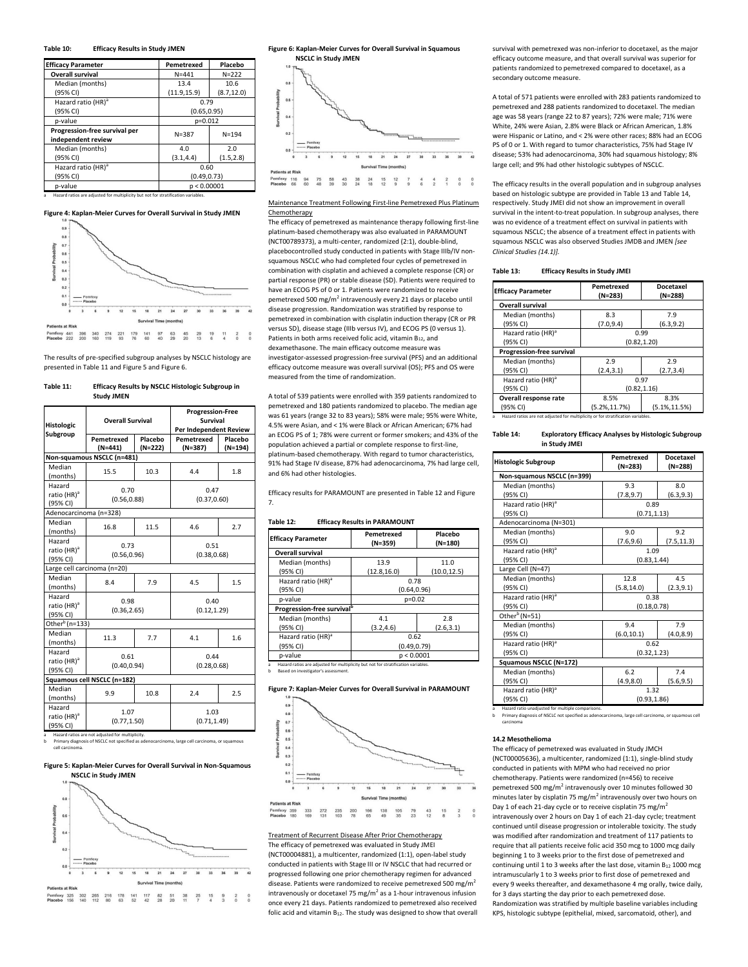## **Table 10:\_\_\_\_\_ Efficacy Results in Study JMEN**

| <b>Efficacy Parameter</b>                                                         | Pemetrexed   | Placebo     |  |
|-----------------------------------------------------------------------------------|--------------|-------------|--|
| <b>Overall survival</b>                                                           | $N = 441$    | $N = 222$   |  |
| Median (months)                                                                   | 13.4         | 10.6        |  |
| (95% CI)                                                                          | (11.9, 15.9) | (8.7, 12.0) |  |
| Hazard ratio (HR) <sup>a</sup>                                                    | 0.79         |             |  |
| (95% CI)                                                                          | (0.65, 0.95) |             |  |
| p-value                                                                           | p=0.012      |             |  |
| Progression-free survival per                                                     | $N = 387$    | $N = 194$   |  |
| independent review                                                                |              |             |  |
| Median (months)                                                                   | 4.0          | 2.0         |  |
| (95% CI)                                                                          | (3.1, 4.4)   | (1.5, 2.8)  |  |
| Hazard ratio (HR) <sup>a</sup>                                                    | 0.60         |             |  |
| (95% CI)                                                                          | (0.49, 0.73) |             |  |
| p-value<br>p < 0.00001                                                            |              |             |  |
| Hazard ratios are adjusted for multiplicity but not for stratification variables. |              |             |  |





The results of pre-specified subgroup analyses by NSCLC histology are presented in Table 11 and Figure 5 and Figure 6.

#### **Table 11:\_\_\_\_\_ Efficacy Results by NSCLC Histologic Subgroup in \_\_\_\_\_\_\_\_\_\_\_\_\_ Study JMEN**

| <b>Histologic</b><br>Subgroup                                                                    | <b>Overall Survival</b>     |                                              | <b>Progression-Free</b><br>Survival<br>Per Independent Review |                    |  |
|--------------------------------------------------------------------------------------------------|-----------------------------|----------------------------------------------|---------------------------------------------------------------|--------------------|--|
|                                                                                                  | Pemetrexed<br>$(N=441)$     | Placebo<br>$(N=222)$                         | Pemetrexed<br>(N=387)                                         | Placebo<br>(N=194) |  |
|                                                                                                  | Non-squamous NSCLC (n=481)  |                                              |                                                               |                    |  |
| Median<br>(months)                                                                               | 15.5                        | 10.3                                         | 4.4                                                           | 1.8                |  |
| Hazard<br>ratio (HR) <sup>a</sup><br>(95% CI)                                                    | 0.70<br>(0.56, 0.88)        |                                              | 0.47<br>(0.37, 0.60)                                          |                    |  |
| Adenocarcinoma (n=328)                                                                           |                             |                                              |                                                               |                    |  |
| Median<br>(months)                                                                               | 16.8                        | 11.5                                         | 4.6                                                           | 2.7                |  |
| Hazard<br>ratio (HR) <sup>a</sup><br>(95% CI)                                                    | 0.73<br>(0.56, 0.96)        |                                              | 0.51<br>(0.38, 0.68)                                          |                    |  |
|                                                                                                  | Large cell carcinoma (n=20) |                                              |                                                               |                    |  |
| Median<br>(months)                                                                               | 8.4                         | 7.9                                          | 4.5                                                           | 1.5                |  |
| Hazard<br>ratio (HR) <sup>a</sup><br>(95% CI)                                                    |                             | 0.98<br>0.40<br>(0.36, 2.65)<br>(0.12, 1.29) |                                                               |                    |  |
| Other <sup>b</sup> (n=133)                                                                       |                             |                                              |                                                               |                    |  |
| Median<br>(months)                                                                               | 11.3                        | 7.7                                          | 4.1                                                           | 1.6                |  |
| Hazard<br>ratio (HR) <sup>a</sup><br>(95% CI)                                                    | 0.61<br>(0.40, 0.94)        |                                              | 0.44<br>(0.28, 0.68)                                          |                    |  |
| Squamous cell NSCLC (n=182)                                                                      |                             |                                              |                                                               |                    |  |
| Median<br>(months)                                                                               | 9.9                         | 10.8                                         | 2.4                                                           | 2.5                |  |
| Hazard<br>ratio (HR) <sup>a</sup><br>(95% CI)<br>Hazard rating are not adjusted for multiplicity | 1.07<br>(0.77, 1.50)        |                                              | 1.03<br>(0.71, 1.49)                                          |                    |  |

a\_\_\_Hazard ratios are not adjusted for multiplicity. b\_\_\_Primary diagnosis of NSCLC not specified as adenocarcinoma, large cell carcinoma, or squamous cell carcinoma.

#### **Figure 5: Kaplan-Meier Curves for Overall Survival in Non-Squamous \_\_\_\_\_\_\_ NSCLC in Study JMEN**



**Figure 6: Kaplan-Meier Curves for Overall Survival in Squamous \_\_\_\_\_\_\_ NSCLC in Study JMEN**



Maintenance Treatment Following First-line Pemetrexed Plus Platinum Chemotherapy

The efficacy of pemetrexed as maintenance therapy following first-line platinum-based chemotherapy was also evaluated in PARAMOUNT (NCT00789373), a multi-center, randomized (2:1), double-blind, placebocontrolled study conducted in patients with Stage IIIb/IV nonsquamous NSCLC who had completed four cycles of pemetrexed in combination with cisplatin and achieved a complete response (CR) or partial response (PR) or stable disease (SD). Patients were required to have an ECOG PS of 0 or 1. Patients were randomized to receive pemetrexed 500 mg/m<sup>2</sup> intravenously every 21 days or placebo until disease progression. Randomization was stratified by response to pemetrexed in combination with cisplatin induction therapy (CR or PR versus SD), disease stage (IIIb versus IV), and ECOG PS (0 versus 1). Patients in both arms received folic acid, vitamin  $B_{12}$ , and dexamethasone. The main efficacy outcome measure was investigator-assessed progression-free survival (PFS) and an additional efficacy outcome measure was overall survival (OS); PFS and OS were measured from the time of randomization.

A total of 539 patients were enrolled with 359 patients randomized to pemetrexed and 180 patients randomized to placebo. The median age was 61 years (range 32 to 83 years); 58% were male; 95% were White, 4.5% were Asian, and < 1% were Black or African American; 67% had an ECOG PS of 1; 78% were current or former smokers; and 43% of the population achieved a partial or complete response to first-line, platinum-based chemotherapy. With regard to tumor characteristics, 91% had Stage IV disease, 87% had adenocarcinoma, 7% had large cell, and 6% had other histologies.

Efficacy results for PARAMOUNT are presented in Table 12 and Figure 7.

## **Table 12:\_\_\_\_\_ Efficacy Results in PARAMOUNT**

| <b>Efficacy Parameter</b>              | Pemetrexed<br>(N=359) | Placebo<br>$(N=180)$ |  |
|----------------------------------------|-----------------------|----------------------|--|
| <b>Overall survival</b>                |                       |                      |  |
| Median (months)                        | 13.9                  | 11.0                 |  |
| (95% CI)                               | (12.8, 16.0)          | (10.0, 12.5)         |  |
| Hazard ratio (HR) <sup>a</sup>         | 0.78                  |                      |  |
| (95% CI)                               | (0.64, 0.96)          |                      |  |
| p-value                                | $p=0.02$              |                      |  |
| Progression-free survival <sup>b</sup> |                       |                      |  |
| Median (months)                        | 4.1                   | 2.8                  |  |
| (95% CI)                               | (3.2, 4.6)            | (2.6, 3.1)           |  |
| Hazard ratio (HR) <sup>a</sup>         | 0.62                  |                      |  |
| (95% CI)                               | (0.49, 0.79)          |                      |  |
| p-value<br>p < 0.0001                  |                       |                      |  |

a\_\_\_Hazard ratios are adjusted for multiplicity but not for stratification variables. b\_\_\_Based on investigator's assessment.





#### Treatment of Recurrent Disease After Prior Chemotherapy The efficacy of pemetrexed was evaluated in Study JMEI

(NCT00004881), a multicenter, randomized (1:1), open-label study conducted in patients with Stage III or IV NSCLC that had recurred or progressed following one prior chemotherapy regimen for advanced disease. Patients were randomized to receive pemetrexed 500 mg/m<sup>2</sup> intravenously or docetaxel 75 mg/ $m^2$  as a 1-hour intravenous infusion once every 21 days. Patients randomized to pemetrexed also received folic acid and vitamin B<sub>12</sub>. The study was designed to show that overall survival with pemetrexed was non-inferior to docetaxel, as the major efficacy outcome measure, and that overall survival was superior for patients randomized to pemetrexed compared to docetaxel, as a secondary outcome measure.

A total of 571 patients were enrolled with 283 patients randomized to pemetrexed and 288 patients randomized to docetaxel. The median age was 58 years (range 22 to 87 years); 72% were male; 71% were White, 24% were Asian, 2.8% were Black or African American, 1.8% were Hispanic or Latino, and < 2% were other races; 88% had an ECOG PS of 0 or 1. With regard to tumor characteristics, 75% had Stage IV disease; 53% had adenocarcinoma, 30% had squamous histology; 8% large cell; and 9% had other histologic subtypes of NSCLC.

The efficacy results in the overall population and in subgroup analyses based on histologic subtype are provided in Table 13 and Table 14, respectively. Study JMEI did not show an improvement in overall survival in the intent-to-treat population. In subgroup analyses, there was no evidence of a treatment effect on survival in patients with squamous NSCLC; the absence of a treatment effect in patients with squamous NSCLC was also observed Studies JMDB and JMEN *[see Clinical Studies (14.1)].*

| Table 13: |  | <b>Efficacy Results in Study JMEI</b> |  |  |
|-----------|--|---------------------------------------|--|--|
|-----------|--|---------------------------------------|--|--|

| <b>Efficacy Parameter</b>      | Pemetrexed<br>$(N=283)$ | <b>Docetaxel</b><br>$(N=288)$ |  |
|--------------------------------|-------------------------|-------------------------------|--|
| <b>Overall survival</b>        |                         |                               |  |
| Median (months)                | 8.3                     | 7.9                           |  |
| (95% CI)                       | (7.0, 9.4)              | (6.3, 9.2)                    |  |
| Hazard ratio (HR) <sup>a</sup> | 0.99                    |                               |  |
| (95% CI)                       | (0.82, 1.20)            |                               |  |
| Progression-free survival      |                         |                               |  |
| Median (months)                | 2.9                     | 2.9                           |  |
| (95% CI)                       | (2.4, 3.1)              | (2.7, 3.4)                    |  |
| Hazard ratio (HR) <sup>a</sup> | 0.97                    |                               |  |
| (95% CI)                       | (0.82, 1.16)            |                               |  |
| Overall response rate          | 8.5%                    | 8.3%                          |  |
| (95% CI)                       | $(5.2\%, 11.7\%)$       | $(5.1\%, 11.5\%)$             |  |

**Table 14:\_\_\_\_\_ Exploratory Efficacy Analyses by Histologic Subgroup \_\_\_\_\_\_\_\_\_\_\_\_\_ in Study JMEI**

| <b>Histologic Subgroup</b>     | Pemetrexed<br>(N=283) | Docetaxel<br>(N=288) |  |
|--------------------------------|-----------------------|----------------------|--|
| Non-squamous NSCLC (n=399)     |                       |                      |  |
| Median (months)                | 9.3                   | 8.0                  |  |
| (95% CI)                       | (7.8, 9.7)            | (6.3, 9.3)           |  |
| Hazard ratio (HR) <sup>a</sup> | 0.89                  |                      |  |
| (95% CI)                       | (0.71, 1.13)          |                      |  |
| Adenocarcinoma (N=301)         |                       |                      |  |
| Median (months)                | 9.0                   | 9.2                  |  |
| (95% CI)                       | (7.6, 9.6)            | (7.5, 11.3)          |  |
| Hazard ratio (HR) <sup>a</sup> | 1.09                  |                      |  |
| (95% CI)                       | (0.83.1.44)           |                      |  |
| Large Cell (N=47)              |                       |                      |  |
| Median (months)                | 12.8                  | 4.5                  |  |
| (95% CI)                       | (5.8, 14.0)           | (2.3, 9.1)           |  |
| Hazard ratio (HR) <sup>a</sup> | 0.38                  |                      |  |
| (95% CI)                       | (0.18, 0.78)          |                      |  |
| Other <sup>b</sup> (N=51)      |                       |                      |  |
| Median (months)                | 9.4                   | 7.9                  |  |
| (95% CI)                       | (6.0, 10.1)           | (4.0, 8.9)           |  |
| Hazard ratio (HR) <sup>a</sup> | 0.62                  |                      |  |
| (95% CI)                       | (0.32, 1.23)          |                      |  |
| Squamous NSCLC (N=172)         |                       |                      |  |
| Median (months)                | 6.2                   | 7.4                  |  |
| (95% CI)                       | (4.9, 8.0)            | (5.6, 9.5)           |  |
| Hazard ratio (HR) <sup>a</sup> | 1.32                  |                      |  |
| (95% CI)                       | (0.93, 1.86)          |                      |  |

a Hazard ratio unadjusted for multiple comparisons.

e comparisons.<br>cified as adenocarcinoma, large cell carcinoma, or squamous cell \_\_\_\_carcinoma

#### **14.2 Mesothelioma**

The efficacy of pemetrexed was evaluated in Study JMCH (NCT00005636), a multicenter, randomized (1:1), single-blind study conducted in patients with MPM who had received no prior chemotherapy. Patients were randomized (n=456) to receive pemetrexed 500 mg/m<sup>2</sup> intravenously over 10 minutes followed 30 minutes later by cisplatin 75 mg/ $m^2$  intravenously over two hours on Day 1 of each 21-day cycle or to receive cisplatin 75 mg/m intravenously over 2 hours on Day 1 of each 21-day cycle; treatment continued until disease progression or intolerable toxicity. The study was modified after randomization and treatment of 117 patients to require that all patients receive folic acid 350 mcg to 1000 mcg daily beginning 1 to 3 weeks prior to the first dose of pemetrexed and continuing until 1 to 3 weeks after the last dose, vitamin  $B_{12}$  1000 mcg intramuscularly 1 to 3 weeks prior to first dose of pemetrexed and every 9 weeks thereafter, and dexamethasone 4 mg orally, twice daily, for 3 days starting the day prior to each pemetrexed dose. Randomization was stratified by multiple baseline variables including KPS, histologic subtype (epithelial, mixed, sarcomatoid, other), and